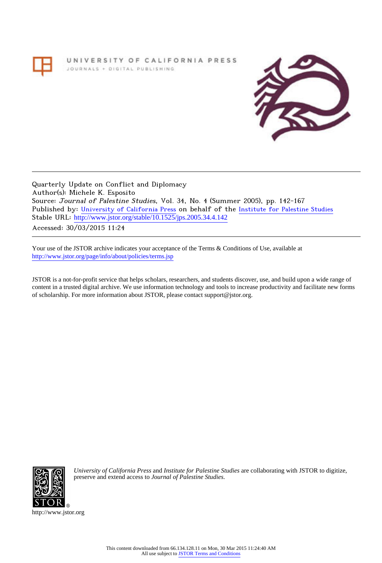# UNIVERSITY OF CALIFORNIA PRESS JOURNALS + DIGITAL PUBLISHING



Quarterly Update on Conflict and Diplomacy Author(s): Michele K. Esposito Source: Journal of Palestine Studies, Vol. 34, No. 4 (Summer 2005), pp. 142-167 Published by: [University of California Press](http://www.jstor.org/action/showPublisher?publisherCode=ucal) on behalf of the [Institute for Palestine Studies](http://www.jstor.org/action/showPublisher?publisherCode=palstud) Stable URL: http://www.jstor.org/stable/10.1525/jps.2005.34.4.142

Accessed: 30/03/2015 11:24

Your use of the JSTOR archive indicates your acceptance of the Terms & Conditions of Use, available at <http://www.jstor.org/page/info/about/policies/terms.jsp>

JSTOR is a not-for-profit service that helps scholars, researchers, and students discover, use, and build upon a wide range of content in a trusted digital archive. We use information technology and tools to increase productivity and facilitate new forms of scholarship. For more information about JSTOR, please contact support@jstor.org.



*University of California Press* and *Institute for Palestine Studies* are collaborating with JSTOR to digitize, preserve and extend access to *Journal of Palestine Studies.*

http://www.jstor.org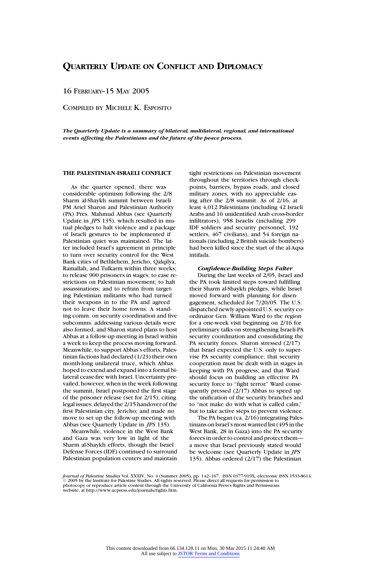16 FEBRUARY–15 MAY 2005

COMPILED BY MICHELE K. ESPOSITO

*The Quarterly Update is a summary of bilateral, multilateral, regional, and international events affecting the Palestinians and the future of the peace process.*

## **THE PALESTINIAN-ISRAELI CONFLICT**

As the quarter opened, there was considerable optimism following the 2/8 Sharm al-Shaykh summit between Israeli PM Ariel Sharon and Palestinian Authority (PA) Pres. Mahmud Abbas (see Quarterly Update in *JPS* 135), which resulted in mutual pledges to halt violence and a package of Israeli gestures to be implemented if Palestinian quiet was maintained. The latter included Israel's agreement in principle to turn over security control for the West Bank cities of Bethlehem, Jericho, Qalqilya, Ramallah, and Tulkarm within three weeks; to release 900 prisoners in stages; to ease restrictions on Palestinian movement; to halt assassinations; and to refrain from targeting Palestinian militants who had turned their weapons in to the PA and agreed not to leave their home towns. A standing comm. on security coordination and five subcomms. addressing various details were also formed, and Sharon stated plans to host Abbas at a follow-up meeting in Israel within a week to keep the process moving forward. Meanwhile, to support Abbas's efforts, Palestinian factions had declared (1/23) their own month-long unilateral truce, which Abbas hoped to extend and expand into a formal bilateral cease-fire with Israel. Uncertainty prevailed, however, when in the week following the summit, Israel postponed the first stage of the prisoner release (set for 2/15), citing legal issues; delayed the 2/15 handover of the first Palestinian city, Jericho; and made no move to set up the follow-up meeting with Abbas (see Quarterly Update in *JPS* 135).

Meanwhile, violence in the West Bank and Gaza was very low in light of the Sharm al-Shaykh efforts, though the Israel Defense Forces (IDF) continued to surround Palestinian population centers and maintain tight restrictions on Palestinian movement throughout the territories through checkpoints, barriers, bypass roads, and closed military zones, with no appreciable easing after the 2/8 summit. As of 2/16, at least 4,012 Palestinians (including 42 Israeli Arabs and 16 unidentified Arab cross-border infiltrators), 958 Israelis (including 299 IDF soldiers and security personnel, 192 settlers, 467 civilians), and 54 foreign nationals (including 2 British suicide bombers) had been killed since the start of the al-Aqsa intifada.

# *Confidence-Building Steps Falter*

During the last weeks of 2/05, Israel and the PA took limited steps toward fulfilling their Sharm al-Shaykh pledges, while Israel moved forward with planning for disengagement, scheduled for 7/20/05. The U.S. dispatched newly appointed U.S. security coordinator Gen. William Ward to the region for a one-week visit beginning on 2/16 for preliminary talks on strengthening Israeli-PA security coordination and consolidating the PA security forces. Sharon stressed (2/17) that Israel expected the U.S. only to supervise PA security compliance; that security cooperation must be dealt with in stages in keeping with PA progress; and that Ward should focus on building an effective PA security force to "fight terror." Ward consequently pressed (2/17) Abbas to speed up the unification of the security branches and to "not make do with what is called calm," but to take active steps to prevent violence.

The PA began (ca. 2/16) integrating Palestinians on Israel's most wanted list (495 in the West Bank, 28 in Gaza) into the PA security forces in order to control and protect them a move that Israel previously stated would be welcome (see Quarterly Update in *JPS* 135). Abbas ordered (2/17) the Palestinian

*Journal of Palestine Studies* Vol. XXXIV, No. 4 (Summer 2005), pp. 142–167, ISSN 0377-919X, electronic ISSN 1533-8614.<br>© 2005 by the Institute for Palestine Studies. All rights reserved. Please direct all requests for pe photocopy or reproduce article content through the University of California Press's Rights and Permissions website, at http://www.ucpress.edu/journals/rights.htm.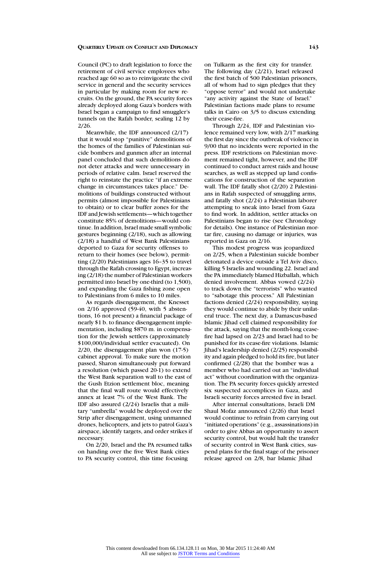Council (PC) to draft legislation to force the retirement of civil service employees who reached age 60 so as to reinvigorate the civil service in general and the security services in particular by making room for new recruits. On the ground, the PA security forces already deployed along Gaza's borders with Israel began a campaign to find smuggler's tunnels on the Rafah border, sealing 12 by 2/26.

Meanwhile, the IDF announced (2/17) that it would stop "punitive" demolitions of the homes of the families of Palestinian suicide bombers and gunmen after an internal panel concluded that such demolitions do not deter attacks and were unnecessary in periods of relative calm. Israel reserved the right to reinstate the practice "if an extreme change in circumstances takes place." Demolitions of buildings constructed without permits (almost impossible for Palestinians to obtain) or to clear buffer zones for the IDF and Jewish settlements—which together constitute 85% of demolitions—would continue. In addition, Israel made small symbolic gestures beginning (2/18), such as allowing (2/18) a handful of West Bank Palestinians deported to Gaza for security offenses to return to their homes (see below), permitting (2/20) Palestinians ages 16–35 to travel through the Rafah crossing to Egypt, increasing (2/18) the number of Palestinian workers permitted into Israel by one-third (to 1,500), and expanding the Gaza fishing zone open to Palestinians from 6 miles to 10 miles.

As regards disengagement, the Knesset on 2/16 approved (59-40, with 5 abstentions, 16 not present) a financial package of nearly \$1 b. to finance disengagement implementation, including \$870 m. in compensation for the Jewish settlers (approximately \$100,000/individual settler evacuated). On 2/20, the disengagement plan won (17-5) cabinet approval. To make sure the motion passed, Sharon simultaneously put forward a resolution (which passed 20-1) to extend the West Bank separation wall to the east of the Gush Etzion settlement bloc, meaning that the final wall route would effectively annex at least 7% of the West Bank. The IDF also assured (2/24) Israelis that a military "umbrella" would be deployed over the Strip after disengagement, using unmanned drones, helicopters, and jets to patrol Gaza's airspace, identify targets, and order strikes if necessary.

On 2/20, Israel and the PA resumed talks on handing over the five West Bank cities to PA security control, this time focusing

on Tulkarm as the first city for transfer. The following day (2/21), Israel released the first batch of 500 Palestinian prisoners, all of whom had to sign pledges that they "oppose terror" and would not undertake "any activity against the State of Israel." Palestinian factions made plans to resume talks in Cairo on 3/5 to discuss extending their cease-fire.

Through 2/24, IDF and Palestinian violence remained very low, with 2/17 marking the first day since the outbreak of violence in 9/00 that no incidents were reported in the press. IDF restrictions on Palestinian movement remained tight, however, and the IDF continued to conduct arrest raids and house searches, as well as stepped up land confiscations for construction of the separation wall. The IDF fatally shot (2/20) 2 Palestinians in Rafah suspected of smuggling arms, and fatally shot (2/24) a Palestinian laborer attempting to sneak into Israel from Gaza to find work. In addition, settler attacks on Palestinians began to rise (see Chronology for details). One instance of Palestinian mortar fire, causing no damage or injuries, was reported in Gaza on 2/16.

This modest progress was jeopardized on 2/25, when a Palestinian suicide bomber detonated a device outside a Tel Aviv disco, killing 5 Israelis and wounding 22. Israel and the PA immediately blamed Hizballah, which denied involvement. Abbas vowed (2/24) to track down the "terrorists" who wanted to "sabotage this process." All Palestinian factions denied (2/24) responsibility, saying they would continue to abide by their unilateral truce. The next day, a Damascus-based Islamic Jihad cell claimed responsibility for the attack, saying that the month-long ceasefire had lapsed on 2/23 and Israel had to be punished for its cease-fire violations. Islamic Jihad's leadership denied (2/25) responsibility and again pledged to hold its fire, but later confirmed (2/28) that the bomber was a member who had carried out an "individual act" without coordination with the organization. The PA security forces quickly arrested six suspected accomplices in Gaza, and Israeli security forces arrested five in Israel.

After internal consultations, Israeli DM Shaul Mofaz announced (2/26) that Israel would continue to refrain from carrying out "initiated operations" (e.g., assassinations) in order to give Abbas an opportunity to assert security control, but would halt the transfer of security control in West Bank cities, suspend plans for the final stage of the prisoner release agreed on 2/8, bar Islamic Jihad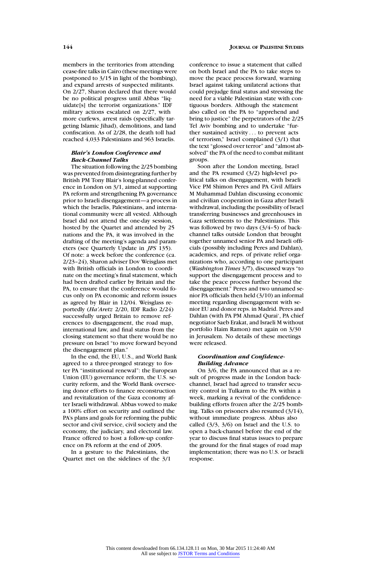members in the territories from attending cease-fire talks in Cairo (these meetings were postponed to 3/15 in light of the bombing), and expand arrests of suspected militants. On 2/27, Sharon declared that there would be no political progress until Abbas "liquidate[s] the terrorist organizations." IDF military actions escalated on 2/27, with more curfews, arrest raids (specifically targeting Islamic Jihad), demolitions, and land confiscation. As of 2/28, the death toll had reached 4,033 Palestinians and 963 Israelis.

# *Blair's London Conference and Back-Channel Talks*

The situation following the 2/25 bombing was prevented from disintegrating further by British PM Tony Blair's long-planned conference in London on 3/1, aimed at supporting PA reform and strengthening PA governance prior to Israeli disengagement—a process in which the Israelis, Palestinians, and international community were all vested. Although Israel did not attend the one-day session, hosted by the Quartet and attended by 25 nations and the PA, it was involved in the drafting of the meeting's agenda and parameters (see Quarterly Update in *JPS* 135). Of note: a week before the conference (ca. 2/23–24), Sharon adviser Dov Weisglass met with British officials in London to coordinate on the meeting's final statement, which had been drafted earlier by Britain and the PA, to ensure that the conference would focus only on PA economic and reform issues as agreed by Blair in 12/04. Weisglass reportedly (*Ha'Aretz* 2/20, IDF Radio 2/24) successfully urged Britain to remove references to disengagement, the road map, international law, and final status from the closing statement so that there would be no pressure on Israel "to move forward beyond the disengagement plan."

In the end, the EU, U.S., and World Bank agreed to a three-pronged strategy to foster PA "institutional renewal": the European Union (EU) governance reform, the U.S. security reform, and the World Bank overseeing donor efforts to finance reconstruction and revitalization of the Gaza economy after Israeli withdrawal. Abbas vowed to make a 100% effort on security and outlined the PA's plans and goals for reforming the public sector and civil service, civil society and the economy, the judiciary, and electoral law. France offered to host a follow-up conference on PA reform at the end of 2005.

In a gesture to the Palestinians, the Quartet met on the sidelines of the 3/1 conference to issue a statement that called on both Israel and the PA to take steps to move the peace process forward, warning Israel against taking unilateral actions that could prejudge final status and stressing the need for a viable Palestinian state with contiguous borders. Although the statement also called on the PA to "apprehend and bring to justice" the perpetrators of the 2/25 Tel Aviv bombing and to undertake "further sustained activity . . . to prevent acts of terrorism," Israel complained (3/1) that the text "glossed over terror" and "almost absolved" the PA of the need to combat militant groups.

Soon after the London meeting, Israel and the PA resumed (3/2) high-level political talks on disengagement, with Israeli Vice PM Shimon Peres and PA Civil Affairs M Muhammad Dahlan discussing economic and civilian cooperation in Gaza after Israeli withdrawal, including the possibility of Israel transferring businesses and greenhouses in Gaza settlements to the Palestinians. This was followed by two days  $(3/4-5)$  of backchannel talks outside London that brought together unnamed senior PA and Israeli officials (possibly including Peres and Dahlan), academics, and reps. of private relief organizations who, according to one participant (*Washington Times* 3/7), discussed ways "to support the disengagement process and to take the peace process further beyond the disengagement." Peres and two unnamed senior PA officials then held (3/10) an informal meeting regarding disengagement with senior EU and donor reps. in Madrid. Peres and Dahlan (with PA PM Ahmad Qurai', PA chief negotiator Saeb Erakat, and Israeli M without portfolio Haim Ramon) met again on 3/30 in Jerusalem. No details of these meetings were released.

# *Coordination and Confidence-Building Advance*

On 3/6, the PA announced that as a result of progress made in the London backchannel, Israel had agreed to transfer security control in Tulkarm to the PA within a week, marking a revival of the confidencebuilding efforts frozen after the 2/25 bombing. Talks on prisoners also resumed (3/14), without immediate progress. Abbas also called (3/3, 3/6) on Israel and the U.S. to open a back-channel before the end of the year to discuss final status issues to prepare the ground for the final stages of road map implementation; there was no U.S. or Israeli response.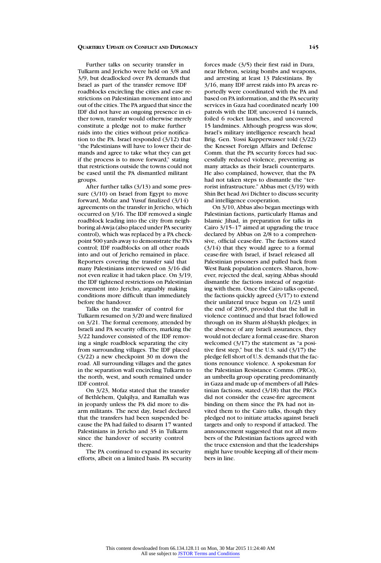Further talks on security transfer in Tulkarm and Jericho were held on 3/8 and 3/9, but deadlocked over PA demands that Israel as part of the transfer remove IDF roadblocks encircling the cities and ease restrictions on Palestinian movement into and out of the cities. The PA argued that since the IDF did not have an ongoing presence in either town, transfer would otherwise merely constitute a pledge not to make further raids into the cities without prior notification to the PA. Israel responded (3/12) that "the Palestinians will have to lower their demands and agree to take what they can get if the process is to move forward," stating that restrictions outside the towns could not be eased until the PA dismantled militant groups.

After further talks (3/13) and some pressure (3/10) on Israel from Egypt to move forward, Mofaz and Yusuf finalized (3/14) agreements on the transfer in Jericho, which occurred on 3/16. The IDF removed a single roadblock leading into the city from neighboring al-Awja (also placed under PA security control), which was replaced by a PA checkpoint 500 yards away to demonstrate the PA's control; IDF roadblocks on all other roads into and out of Jericho remained in place. Reporters covering the transfer said that many Palestinians interviewed on 3/16 did not even realize it had taken place. On 3/19, the IDF tightened restrictions on Palestinian movement into Jericho, arguably making conditions more difficult than immediately before the handover.

Talks on the transfer of control for Tulkarm resumed on 3/20 and were finalized on 3/21. The formal ceremony, attended by Israeli and PA security officers, marking the 3/22 handover consisted of the IDF removing a single roadblock separating the city from surrounding villages. The IDF placed (3/22) a new checkpoint 30 m down the road. All surrounding villages and the gates in the separation wall encircling Tulkarm to the north, west, and south remained under IDF control.

On 3/23, Mofaz stated that the transfer of Bethlehem, Qalqilya, and Ramallah was in jeopardy unless the PA did more to disarm militants. The next day, Israel declared that the transfers had been suspended because the PA had failed to disarm 17 wanted Palestinians in Jericho and 35 in Tulkarm since the handover of security control there.

The PA continued to expand its security efforts, albeit on a limited basis. PA security

forces made (3/5) their first raid in Dura, near Hebron, seizing bombs and weapons, and arresting at least 13 Palestinians. By 3/16, many IDF arrest raids into PA areas reportedly were coordinated with the PA and based on PA information, and the PA security services in Gaza had coordinated nearly 100 patrols with the IDF, uncovered 14 tunnels, foiled 6 rocket launches, and uncovered 15 landmines. Although progress was slow, Israel's military intelligence research head Brig. Gen. Yossi Kupperwasser told (3/22) the Knesset Foreign Affairs and Defense Comm. that the PA security forces had successfully reduced violence, preventing as many attacks as their Israeli counterparts. He also complained, however, that the PA had not taken steps to dismantle the "terrorist infrastructure." Abbas met (3/19) with Shin Bet head Avi Dichter to discuss security and intelligence cooperation.

On 3/10, Abbas also began meetings with Palestinian factions, particularly Hamas and Islamic Jihad, in preparation for talks in Cairo 3/15–17 aimed at upgrading the truce declared by Abbas on 2/8 to a comprehensive, official cease-fire. The factions stated (3/14) that they would agree to a formal cease-fire with Israel, if Israel released all Palestinian prisoners and pulled back from West Bank population centers. Sharon, however, rejected the deal, saying Abbas should dismantle the factions instead of negotiating with them. Once the Cairo talks opened, the factions quickly agreed (3/17) to extend their unilateral truce begun on 1/23 until the end of 2005, provided that the lull in violence continued and that Israel followed through on its Sharm al-Shaykh pledges; in the absence of any Israeli assurances, they would not declare a formal cease-fire. Sharon welcomed (3/17) the statement as "a positive first step," but the U.S. said (3/17) the pledge fell short of U.S. demands that the factions renounce violence. A spokesman for the Palestinian Resistance Comms. (PRCs), an umbrella group operating predominantly in Gaza and made up of members of all Palestinian factions, stated (3/18) that the PRCs did not consider the cease-fire agreement binding on them since the PA had not invited them to the Cairo talks, though they pledged not to initiate attacks against Israeli targets and only to respond if attacked. The announcement suggested that not all members of the Palestinian factions agreed with the truce extension and that the leaderships might have trouble keeping all of their members in line.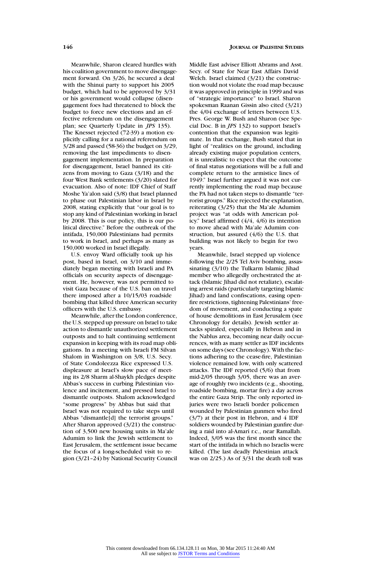Meanwhile, Sharon cleared hurdles with his coalition government to move disengagement forward. On 3/26, he secured a deal with the Shinui party to support his 2005 budget, which had to be approved by 3/31 or his government would collapse (disengagement foes had threatened to block the budget to force new elections and an effective referendum on the disengagement plan; see Quarterly Update in *JPS* 135). The Knesset rejected (72-39) a motion explicitly calling for a national referendum on 3/28 and passed (58-36) the budget on 3/29, removing the last impediments to disengagement implementation. In preparation for disengagement, Israel banned its citizens from moving to Gaza (3/18) and the four West Bank settlements (3/20) slated for evacuation. Also of note: IDF Chief of Staff Moshe Ya'alon said (3/8) that Israel planned to phase out Palestinian labor in Israel by 2008, stating explicitly that "our goal is to stop any kind of Palestinian working in Israel by 2008. This is our policy, this is our political directive." Before the outbreak of the intifada, 150,000 Palestinians had permits to work in Israel, and perhaps as many as 150,000 worked in Israel illegally.

U.S. envoy Ward officially took up his post, based in Israel, on 3/10 and immediately began meeting with Israeli and PA officials on security aspects of disengagement. He, however, was not permitted to visit Gaza because of the U.S. ban on travel there imposed after a 10/15/03 roadside bombing that killed three American security officers with the U.S. embassy.

Meanwhile, after the London conference, the U.S. stepped up pressure on Israel to take action to dismantle unauthorized settlement outposts and to halt continuing settlement expansion in keeping with its road map obligations. In a meeting with Israeli FM Silvan Shalom in Washington on 3/8, U.S. Secy. of State Condoleezza Rice expressed U.S. displeasure at Israel's slow pace of meeting its 2/8 Sharm al-Shaykh pledges despite Abbas's success in curbing Palestinian violence and incitement, and pressed Israel to dismantle outposts. Shalom acknowledged "some progress" by Abbas but said that Israel was not required to take steps until Abbas "dismantle[d] the terrorist groups." After Sharon approved (3/21) the construction of 3,500 new housing units in Ma'ale Adumim to link the Jewish settlement to East Jerusalem, the settlement issue became the focus of a long-scheduled visit to region (3/21–24) by National Security Council

# **146 JOURNAL OF PALESTINE STUDIES**

Middle East adviser Elliott Abrams and Asst. Secy. of State for Near East Affairs David Welch. Israel claimed (3/21) the construction would not violate the road map because it was approved in principle in 1999 and was of "strategic importance" to Israel. Sharon spokesman Raanan Gissin also cited (3/21) the 4/04 exchange of letters between U.S. Pres. George W. Bush and Sharon (see Special Doc. B in *JPS* 132) to support Israel's contention that the expansion was legitimate. In that exchange, Bush stated that in light of "realities on the ground, including already existing major population centers, it is unrealistic to expect that the outcome of final status negotiations will be a full and complete return to the armistice lines of 1949." Israel further argued it was not currently implementing the road map because the PA had not taken steps to dismantle "terrorist groups." Rice rejected the explanation, reiterating (3/25) that the Ma'ale Adumim project was "at odds with American policy." Israel affirmed (4/4, 4/6) its intention to move ahead with Ma'ale Adumim construction, but assured (4/6) the U.S. that building was not likely to begin for two years.

Meanwhile, Israel stepped up violence following the 2/25 Tel Aviv bombing, assassinating (3/10) the Tulkarm Islamic Jihad member who allegedly orchestrated the attack (Islamic Jihad did not retaliate), escalating arrest raids (particularly targeting Islamic Jihad) and land confiscations, easing openfire restrictions, tightening Palestinians' freedom of movement, and conducting a spate of house demolitions in East Jerusalem (see Chronology for details). Jewish settler attacks spiraled, especially in Hebron and in the Nablus area, becoming near daily occurrences, with as many settler as IDF incidents on some days (see Chronology). With the factions adhering to the cease-fire, Palestinian violence remained low, with only scattered attacks. The IDF reported (5/6) that from mid-2/05 through 3/05, there was an average of roughly two incidents (e.g., shooting, roadside bombing, mortar fire) a day across the entire Gaza Strip. The only reported injuries were two Israeli border policemen wounded by Palestinian gunmen who fired  $(3/7)$  at their post in Hebron, and 4 IDF soldiers wounded by Palestinian gunfire during a raid into al-Amari r.c., near Ramallah. Indeed, 3/05 was the first month since the start of the intifada in which no Israelis were killed. (The last deadly Palestinian attack was on 2/25.) As of 3/31 the death toll was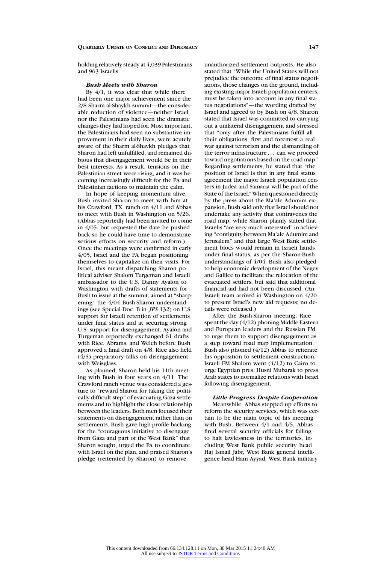holding relatively steady at 4,039 Palestinians and 963 Israelis.

## *Bush Meets with Sharon*

By 4/1, it was clear that while there had been one major achievement since the 2/8 Sharm al-Shaykh summit—the considerable reduction of violence—neither Israel nor the Palestinians had seen the dramatic changes they had hoped for. Most important, the Palestinians had seen no substantive improvement in their daily lives, were acutely aware of the Sharm al-Shaykh pledges that Sharon had left unfulfilled, and remained dubious that disengagement would be in their best interests. As a result, tensions on the Palestinian street were rising, and it was becoming increasingly difficult for the PA and Palestinian factions to maintain the calm.

In hope of keeping momentum alive, Bush invited Sharon to meet with him at his Crawford, TX, ranch on 4/11 and Abbas to meet with Bush in Washington on 5/26. (Abbas reportedly had been invited to come in 4/05, but requested the date be pushed back so he could have time to demonstrate serious efforts on security and reform.) Once the meetings were confirmed in early 4/05, Israel and the PA began positioning themselves to capitalize on their visits. For Israel, this meant dispatching Sharon political adviser Shalom Turgeman and Israeli ambassador to the U.S. Danny Ayalon to Washington with drafts of statements for Bush to issue at the summit, aimed at "sharpening" the 4/04 Bush-Sharon understandings (see Special Doc. B in *JPS* 132) on U.S. support for Israeli retention of settlements under final status and at securing strong U.S. support for disengagement. Ayalon and Turgeman reportedly exchanged 61 drafts with Rice, Abrams, and Welch before Bush approved a final draft on 4/8. Rice also held (4/5) preparatory talks on disengagement with Weisglass.

As planned, Sharon held his 11th meeting with Bush in four years on 4/11. The Crawford ranch venue was considered a gesture to "reward Sharon for taking the politically difficult step" of evacuating Gaza settlements and to highlight the close relationship between the leaders. Both men focused their statements on disengagement rather than on settlements. Bush gave high-profile backing for the "courageous initiative to disengage from Gaza and part of the West Bank" that Sharon sought, urged the PA to coordinate with Israel on the plan, and praised Sharon's pledge (reiterated by Sharon) to remove

unauthorized settlement outposts. He also stated that "While the United States will not prejudice the outcome of final status negotiations, those changes on the ground, including existing major Israeli population centers, must be taken into account in any final status negotiations"—the wording drafted by Israel and agreed to by Bush on 4/8. Sharon stated that Israel was committed to carrying out a unilateral disengagement and stressed that "only after the Palestinians fulfill all their obligations, first and foremost a real war against terrorism and the dismantling of the terror infrastructure . . . can we proceed toward negotiations based on the road map." Regarding settlements, he stated that "the position of Israel is that in any final status agreement the major Israeli population centers in Judea and Samaria will be part of the State of the Israel." When questioned directly by the press about the Ma'ale Adumim expansion, Bush said only that Israel should not undertake any activity that contravenes the road map, while Sharon plainly stated that Israelis "are very much interested" in achieving "contiguity between Ma'ale Adumim and Jerusalem" and that large West Bank settlement blocs would remain in Israeli hands under final status, as per the Sharon-Bush understandings of 4/04. Bush also pledged to help economic development of the Negev and Galilee to facilitate the relocation of the evacuated settlers, but said that additional financial aid had not been discussed. (An Israeli team arrived in Washington on 4/20 to present Israel's new aid requests; no details were released.)

After the Bush-Sharon meeting, Rice spent the day (4/12) phoning Middle Eastern and European leaders and the Russian FM to urge them to support disengagement as a step toward road map implementation. Bush also phoned (4/12) Abbas to reiterate his opposition to settlement construction. Israeli FM Shalom went (4/12) to Cairo to urge Egyptian pres. Husni Mubarak to press Arab states to normalize relations with Israel following disengagement.

# *Little Progress Despite Cooperation*

Meanwhile, Abbas stepped up efforts to reform the security services, which was certain to be the main topic of his meeting with Bush. Between 4/1 and 4/5, Abbas fired several security officials for failing to halt lawlessness in the territories, including West Bank public security head Haj Ismail Jabr, West Bank general intelligence head Hani Ayyad, West Bank military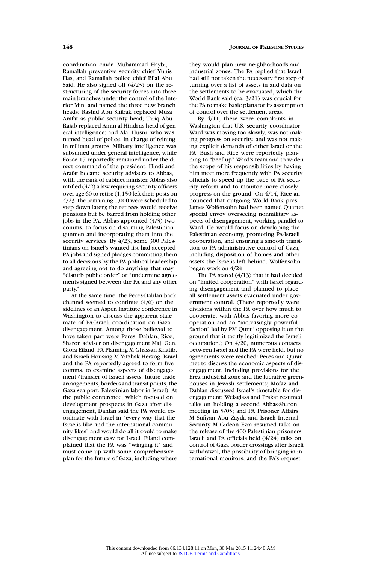coordination cmdr. Muhammad Haybi, Ramallah preventive security chief Yunis Has, and Ramallah police chief Bilal Abu Said. He also signed off (4/23) on the restructuring of the security forces into three main branches under the control of the Interior Min. and named the three new branch heads: Rashid Abu Shibak replaced Musa Arafat as public security head; Tariq Abu Rajab replaced Amin al-Hindi as head of general intelligence; and Ala' Husni, who was named head of police, in charge of reining in militant groups. Military intelligence was subsumed under general intelligence, while Force 17 reportedly remained under the direct command of the president. Hindi and Arafat became security advisers to Abbas, with the rank of cabinet minister. Abbas also ratified (4/2) a law requiring security officers over age 60 to retire  $(1.150)$  left their posts on 4/23, the remaining 1,000 were scheduled to step down later); the retirees would receive pensions but be barred from holding other jobs in the PA. Abbas appointed  $(4/3)$  two comms. to focus on disarming Palestinian gunmen and incorporating them into the security services. By 4/23, some 300 Palestinians on Israel's wanted list had accepted PA jobs and signed pledges committing them to all decisions by the PA political leadership and agreeing not to do anything that may "disturb public order" or "undermine agreements signed between the PA and any other party."

At the same time, the Peres-Dahlan back channel seemed to continue (4/6) on the sidelines of an Aspen Institute conference in Washington to discuss the apparent stalemate of PA-Israeli coordination on Gaza disengagement. Among those believed to have taken part were Peres, Dahlan, Rice, Sharon adviser on disengagement Maj. Gen. Giora Eiland, PA Planning M Ghassan Khatib, and Israeli Housing M Yitzhak Herzog. Israel and the PA reportedly agreed to form five comms. to examine aspects of disengagement (transfer of Israeli assets, future trade arrangements, borders and transit points, the Gaza sea port, Palestinian labor in Israel). At the public conference, which focused on development prospects in Gaza after disengagement, Dahlan said the PA would coordinate with Israel in "every way that the Israelis like and the international community likes" and would do all it could to make disengagement easy for Israel. Eiland complained that the PA was "winging it" and must come up with some comprehensive plan for the future of Gaza, including where

they would plan new neighborhoods and industrial zones. The PA replied that Israel had still not taken the necessary first step of turning over a list of assets in and data on the settlements to be evacuated, which the World Bank said (ca. 3/21) was crucial for the PA to make basic plans for its assumption of control over the settlement areas.

By 4/11, there were complaints in Washington that U.S. security coordinator Ward was moving too slowly, was not making progress on security, and was not making explicit demands of either Israel or the PA. Bush and Rice were reportedly planning to "beef up" Ward's team and to widen the scope of his responsibilities by having him meet more frequently with PA security officials to speed up the pace of PA security reform and to monitor more closely progress on the ground. On 4/14, Rice announced that outgoing World Bank pres. James Wolfensohn had been named Quartet special envoy overseeing nonmilitary aspects of disengagement, working parallel to Ward. He would focus on developing the Palestinian economy, promoting PA-Israeli cooperation, and ensuring a smooth transition to PA administrative control of Gaza, including disposition of homes and other assets the Israelis left behind. Wolfensohn began work on 4/24.

The PA stated (4/13) that it had decided on "limited cooperation" with Israel regarding disengagement and planned to place all settlement assets evacuated under government control. (There reportedly were divisions within the PA over how much to cooperate, with Abbas favoring more cooperation and an "increasingly powerful faction" led by PM Qurai' opposing it on the ground that it tacitly legitimized the Israeli occupation.) On 4/20, numerous contacts between Israel and the PA were held, but no agreements were reached: Peres and Qurai' met to discuss the economic aspects of disengagement, including provisions for the Erez industrial zone and the lucrative greenhouses in Jewish settlements; Mofaz and Dahlan discussed Israel's timetable for disengagement; Weisglass and Erakat resumed talks on holding a second Abbas-Sharon meeting in 5/05; and PA Prisoner Affairs M Sufiyan Abu Zayda and Israeli Internal Security M Gideon Ezra resumed talks on the release of the 400 Palestinian prisoners. Israeli and PA officials held (4/24) talks on control of Gaza border crossings after Israeli withdrawal, the possibility of bringing in international monitors, and the PA's request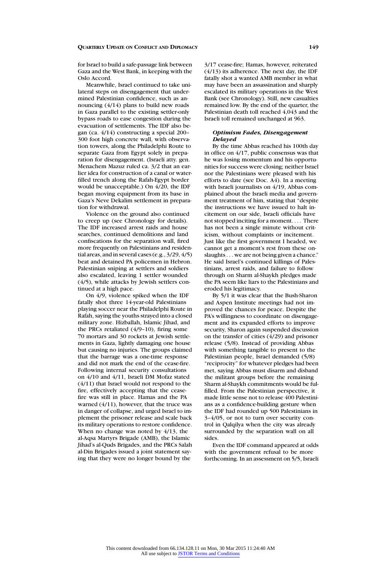for Israel to build a safe-passage link between Gaza and the West Bank, in keeping with the Oslo Accord.

Meanwhile, Israel continued to take unilateral steps on disengagement that undermined Palestinian confidence, such as announcing (4/14) plans to build new roads in Gaza parallel to the existing settler-only bypass roads to ease congestion during the evacuation of settlements. The IDF also began (ca. 4/14) constructing a special 200– 300 foot high concrete wall, with observation towers, along the Philadelphi Route to separate Gaza from Egypt solely in preparation for disengagement. (Israeli atty. gen. Menachem Mazuz ruled ca. 3/2 that an earlier idea for construction of a canal or waterfilled trench along the Rafah-Egypt border would be unacceptable.) On 4/20, the IDF began moving equipment from its base in Gaza's Neve Dekalim settlement in preparation for withdrawal.

Violence on the ground also continued to creep up (see Chronology for details). The IDF increased arrest raids and house searches, continued demolitions and land confiscations for the separation wall, fired more frequently on Palestinians and residential areas, and in several cases (e.g., 3/29, 4/5) beat and detained PA policemen in Hebron. Palestinian sniping at settlers and soldiers also escalated, leaving 1 settler wounded (4/5), while attacks by Jewish settlers continued at a high pace.

On 4/9, violence spiked when the IDF fatally shot three 14-year-old Palestinians playing soccer near the Philadelphi Route in Rafah, saying the youths strayed into a closed military zone. Hizballah, Islamic Jihad, and the PRCs retaliated (4/9–10), firing some 70 mortars and 30 rockets at Jewish settlements in Gaza, lightly damaging one house but causing no injuries. The groups claimed that the barrage was a one-time response and did not mark the end of the cease-fire. Following internal security consultations on 4/10 and 4/11, Israeli DM Mofaz stated (4/11) that Israel would not respond to the fire, effectively accepting that the ceasefire was still in place. Hamas and the PA warned (4/11), however, that the truce was in danger of collapse, and urged Israel to implement the prisoner release and scale back its military operations to restore confidence. When no change was noted by 4/13, the al-Aqsa Martyrs Brigade (AMB), the Islamic Jihad's al-Quds Brigades, and the PRCs Salah al-Din Brigades issued a joint statement saying that they were no longer bound by the

3/17 cease-fire; Hamas, however, reiterated (4/13) its adherence. The next day, the IDF fatally shot a wanted AMB member in what may have been an assassination and sharply escalated its military operations in the West Bank (see Chronology). Still, new casualties remained low. By the end of the quarter, the Palestinian death toll reached 4,043 and the Israeli toll remained unchanged at 963.

#### *Optimism Fades, Disengagement Delayed*

By the time Abbas reached his 100th day in office on 4/17, public consensus was that he was losing momentum and his opportunities for success were closing; neither Israel nor the Palestinians were pleased with his efforts to date (see Doc. A4). In a meeting with Israeli journalists on 4/19, Abbas complained about the Israeli media and government treatment of him, stating that "despite the instructions we have issued to halt incitement on our side, Israeli officials have not stopped inciting for a moment.... There has not been a single minute without criticism, without complaints or incitement. Just like the first government I headed, we cannot get a moment's rest from these onslaughts . . . we are not being given a chance." He said Israel's continued killings of Palestinians, arrest raids, and failure to follow through on Sharm al-Shaykh pledges made the PA seem like liars to the Palestinians and eroded his legitimacy.

By 5/1 it was clear that the Bush-Sharon and Aspen Institute meetings had not improved the chances for peace. Despite the PA's willingness to coordinate on disengagement and its expanded efforts to improve security, Sharon again suspended discussion on the transfer of cities  $(4/29)$  and prisoner release (5/8). Instead of providing Abbas with something tangible to present to the Palestinian people, Israel demanded (5/8) "reciprocity" for whatever pledges had been met, saying Abbas must disarm and disband the militant groups before the remaining Sharm al-Shaykh commitments would be fulfilled. From the Palestinian perspective, it made little sense not to release 400 Palestinians as a confidence-building gesture when the IDF had rounded up 500 Palestinians in 3–4/05, or not to turn over security control in Qalqilya when the city was already surrounded by the separation wall on all sides.

Even the IDF command appeared at odds with the government refusal to be more forthcoming. In an assessment on 5/5, Israeli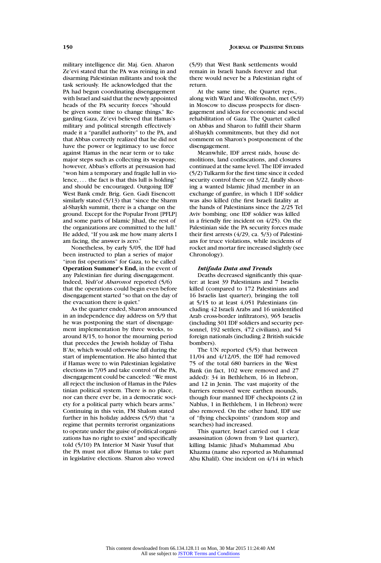military intelligence dir. Maj. Gen. Aharon Ze'evi stated that the PA was reining in and disarming Palestinian militants and took the task seriously. He acknowledged that the PA had begun coordinating disengagement with Israel and said that the newly appointed heads of the PA security forces "should be given some time to change things." Regarding Gaza, Ze'evi believed that Hamas's military and political strength effectively made it a "parallel authority" to the PA, and that Abbas correctly realized that he did not have the power or legitimacy to use force against Hamas in the near term or to take major steps such as collecting its weapons; however, Abbas's efforts at persuasion had "won him a temporary and fragile lull in violence, . . . the fact is that this lull is holding" and should be encouraged. Outgoing IDF West Bank cmdr. Brig. Gen. Gadi Eisencott similarly stated (5/13) that "since the Sharm al-Shaykh summit, there is a change on the ground. Except for the Popular Front [PFLP] and some parts of Islamic Jihad, the rest of the organizations are committed to the lull." He added, "If you ask me how many alerts I am facing, the answer is zero."

Nonetheless, by early 5/05, the IDF had been instructed to plan a series of major "iron fist operations" for Gaza, to be called **Operation Summer's End,** in the event of any Palestinian fire during disengagement. Indeed, *Yedi'ot Aharonot* reported (5/6) that the operations could begin even before disengagement started "so that on the day of the evacuation there is quiet."

As the quarter ended, Sharon announced in an independence day address on 5/9 that he was postponing the start of disengagement implementation by three weeks, to around 8/15, to honor the mourning period that precedes the Jewish holiday of Tisha B'Av, which would otherwise fall during the start of implementation. He also hinted that if Hamas were to win Palestinian legislative elections in 7/05 and take control of the PA, disengagement could be canceled: "We must all reject the inclusion of Hamas in the Palestinian political system. There is no place, nor can there ever be, in a democratic society for a political party which bears arms." Continuing in this vein, FM Shalom stated further in his holiday address (5/9) that "a regime that permits terrorist organizations to operate under the guise of political organizations has no right to exist" and specifically told (5/10) PA Interior M Nasir Yusuf that the PA must not allow Hamas to take part in legislative elections. Sharon also vowed

(5/9) that West Bank settlements would remain in Israeli hands forever and that there would never be a Palestinian right of return.

At the same time, the Quartet reps., along with Ward and Wolfensohn, met (5/9) in Moscow to discuss prospects for disengagement and ideas for economic and social rehabilitation of Gaza. The Quartet called on Abbas and Sharon to fulfill their Sharm al-Shaykh commitments, but they did not comment on Sharon's postponement of the disengagement.

Meanwhile, IDF arrest raids, house demolitions, land confiscations, and closures continued at the same level. The IDF invaded (5/2) Tulkarm for the first time since it ceded security control there on 3/22, fatally shooting a wanted Islamic Jihad member in an exchange of gunfire, in which 1 IDF soldier was also killed (the first Israeli fatality at the hands of Palestinians since the 2/25 Tel Aviv bombing; one IDF soldier was killed in a friendly fire incident on 4/25). On the Palestinian side the PA security forces made their first arrests (4/29, ca. 5/3) of Palestinians for truce violations, while incidents of rocket and mortar fire increased slightly (see Chronology).

#### *Intifada Data and Trends*

Deaths decreased significantly this quarter: at least 39 Palestinians and 7 Israelis killed (compared to 172 Palestinians and 16 Israelis last quarter), bringing the toll at 5/15 to at least 4,051 Palestinians (including 42 Israeli Arabs and 16 unidentified Arab cross-border infiltrators), 965 Israelis (including 301 IDF soldiers and security personnel, 192 settlers, 472 civilians), and 54 foreign nationals (including 2 British suicide bombers).

The UN reported (5/5) that between 11/04 and 4/12/05, the IDF had removed 75 of the total 680 barriers in the West Bank (in fact, 102 were removed and 27 added): 34 in Bethlehem, 16 in Hebron, and 12 in Jenin. The vast majority of the barriers removed were earthen mounds, though four manned IDF checkpoints (2 in Nablus, 1 in Bethlehem, 1 in Hebron) were also removed. On the other hand, IDF use of "flying checkpoints" (random stop and searches) had increased.

This quarter, Israel carried out 1 clear assassination (down from 9 last quarter), killing Islamic Jihad's Muhammad Abu Khazma (name also reported as Muhammad Abu Khalil). One incident on 4/14 in which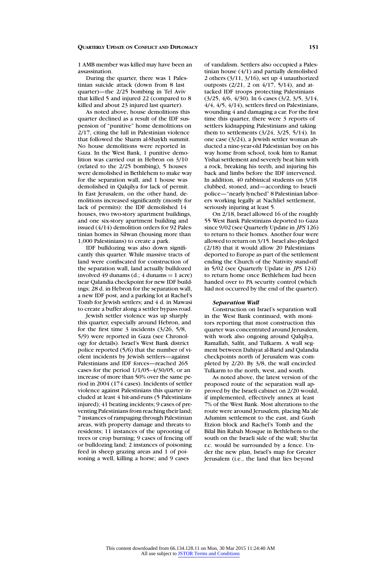1 AMB member was killed may have been an assassination.

During the quarter, there was 1 Palestinian suicide attack (down from 8 last quarter)—the 2/25 bombing in Tel Aviv that killed 5 and injured 22 (compared to 8 killed and about 23 injured last quarter).

As noted above, house demolitions this quarter declined as a result of the IDF suspension of "punitive" home demolitions on 2/17, citing the lull in Palestinian violence that followed the Sharm al-Shaykh summit. No house demolitions were reported in Gaza. In the West Bank, 1 punitive demolition was carried out in Hebron on 3/10 (related to the 2/25 bombing), 5 houses were demolished in Bethlehem to make way for the separation wall, and 1 house was demolished in Qalqilya for lack of permit. In East Jerusalem, on the other hand, demolitions increased significantly (mostly for lack of permits): the IDF demolished 14 houses, two two-story apartment buildings, and one six-story apartment building and issued (4/14) demolition orders for 92 Palestinian homes in Silwan (housing more than 1,000 Palestinians) to create a park.

IDF bulldozing was also down significantly this quarter. While massive tracts of land were confiscated for construction of the separation wall, land actually bulldozed involved 49 dunams (d.; 4 dunams  $= 1$  acre) near Qalandia checkpoint for new IDF buildings; 28 d. in Hebron for the separation wall, a new IDF post, and a parking lot at Rachel's Tomb for Jewish settlers; and 4 d. in Mawasi to create a buffer along a settler bypass road.

Jewish settler violence was up sharply this quarter, especially around Hebron, and for the first time 3 incidents (3/26, 5/8, 5/9) were reported in Gaza (see Chronology for details). Israel's West Bank district police reported (5/6) that the number of violent incidents by Jewish settlers—against Palestinians and IDF forces—reached 265 cases for the period  $1/1/05-4/30/05$ , or an increase of more than 50% over the same period in 2004 (174 cases). Incidents of settler violence against Palestinians this quarter included at least 4 hit-and-runs (5 Palestinians injured); 41 beating incidents; 9 cases of preventing Palestinians from reaching their land; 7 instances of rampaging through Palestinian areas, with property damage and threats to residents; 11 instances of the uprooting of trees or crop burning; 9 cases of fencing off or bulldozing land; 2 instances of poisoning feed in sheep grazing areas and 1 of poisoning a well, killing a horse; and 9 cases

of vandalism. Settlers also occupied a Palestinian house (4/1) and partially demolished 2 others  $(3/11, 3/16)$ , set up 4 unauthorized outposts  $(2/21, 2 \text{ on } 4/17, 5/14)$ , and attacked IDF troops protecting Palestinians (3/25, 4/6, 4/30). In 6 cases (3/2, 3/5, 3/14, 4/4, 4/5, 4/14), settlers fired on Palestinians, wounding 4 and damaging a car. For the first time this quarter, there were 3 reports of settlers kidnapping Palestinians and taking them to settlements (3/24, 3/25, 5/14). In one case (3/24), a Jewish settler woman abducted a nine-year-old Palestinian boy on his way home from school, took him to Ramat Yishai settlement and severely beat him with a rock, breaking his teeth, and injuring his back and limbs before the IDF intervened. In addition, 40 rabbinical students on 3/18 clubbed, stoned, and—according to Israeli police—"nearly lynched" 8 Palestinian laborers working legally at Nachliel settlement, seriously injuring at least 5.

On 2/18, Israel allowed 16 of the roughly 55 West Bank Palestinians deported to Gaza since 9/02 (see Quarterly Update in *JPS* 126) to return to their homes. Another four were allowed to return on 3/15. Israel also pledged (2/18) that it would allow 20 Palestinians deported to Europe as part of the settlement ending the Church of the Nativity stand-off in 5/02 (see Quarterly Update in *JPS* 124) to return home once Bethlehem had been handed over to PA security control (which had not occurred by the end of the quarter).

## *Separation Wall*

Construction on Israel's separation wall in the West Bank continued, with monitors reporting that most construction this quarter was concentrated around Jerusalem, with work also ongoing around Qalqilya, Ramallah, Salfit, and Tulkarm. A wall segment between Dahiyat al-Barid and Qalandia checkpoints north of Jerusalem was completed by 2/20. By 3/8, the wall encircled Tulkarm to the north, west, and south.

As noted above, the latest version of the proposed route of the separation wall approved by the Israeli cabinet on 2/20 would, if implemented, effectively annex at least 7% of the West Bank. Most alterations to the route were around Jerusalem, placing Ma'ale Adumim settlement to the east, and Gush Etzion block and Rachel's Tomb and the Bilal Bin Rabah Mosque in Bethlehem to the south on the Israeli side of the wall; Shu'fat r.c. would be surrounded by a fence. Under the new plan, Israel's map for Greater Jerusalem (i.e., the land that lies beyond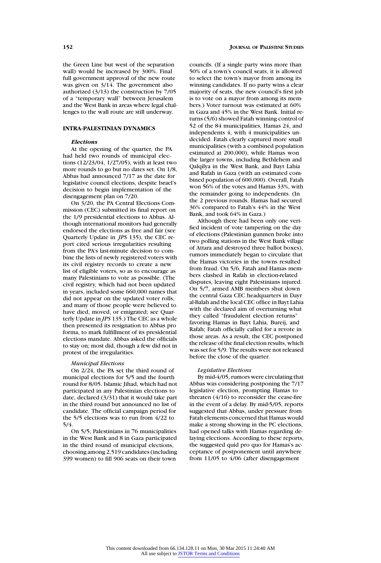the Green Line but west of the separation wall) would be increased by 300%. Final full government approval of the new route was given on  $3/14$ . The government also authorized (3/13) the construction by 7/05 of a "temporary wall" between Jerusalem and the West Bank in areas where legal challenges to the wall route are still underway.

## **INTRA-PALESTINIAN DYNAMICS**

#### *Elections*

At the opening of the quarter, the PA had held two rounds of municipal elections (12/23/04, 1/27/05), with at least two more rounds to go but no dates set. On 1/8, Abbas had announced 7/17 as the date for legislative council elections, despite Israel's decision to begin implementation of the disengagement plan on 7/20.

On 3/20, the PA Central Elections Commission (CEC) submitted its final report on the 1/9 presidential elections to Abbas. Although international monitors had generally endorsed the elections as free and fair (see Quarterly Update in *JPS* 135), the CEC report cited serious irregularities resulting from the PA's last-minute decision to combine the lists of newly registered voters with its civil registry records to create a new list of eligible voters, so as to encourage as many Palestinians to vote as possible. (The civil registry, which had not been updated in years, included some 660,000 names that did not appear on the updated voter rolls, and many of those people were believed to have died, moved, or emigrated; see Quarterly Update in *JPS* 135.) The CEC as a whole then presented its resignation to Abbas pro forma, to mark fulfillment of its presidential elections mandate. Abbas asked the officials to stay on; most did, though a few did not in protest of the irregularities.

#### *Municipal Elections*

On 2/24, the PA set the third round of municipal elections for 5/5 and the fourth round for 8/05. Islamic Jihad, which had not participated in any Palestinian elections to date, declared (3/31) that it would take part in the third round but announced no list of candidate. The official campaign period for the 5/5 elections was to run from 4/22 to 5/4.

On 5/5, Palestinians in 76 municipalities in the West Bank and 8 in Gaza participated in the third round of municipal elections, choosing among 2,519 candidates (including 399 women) to fill 906 seats on their town

councils. (If a single party wins more than 50% of a town's council seats, it is allowed to select the town's mayor from among its winning candidates. If no party wins a clear majority of seats, the new council's first job is to vote on a mayor from among its members.) Voter turnout was estimated at 60% in Gaza and 45% in the West Bank. Initial returns (5/6) showed Fatah winning control of 52 of the 84 municipalities, Hamas 24, and independents 4, with 4 municipalities undecided. Fatah clearly captured more small municipalities (with a combined population estimated at 200,000), while Hamas won the larger towns, including Bethlehem and Qalqilya in the West Bank, and Bayt Lahia and Rafah in Gaza (with an estimated combined population of 600,000). Overall, Fatah won 56% of the votes and Hamas 33%, with the remainder going to independents. (In the 2 previous rounds, Hamas had secured 36% compared to Fatah's 44% in the West Bank, and took 64% in Gaza.)

Although there had been only one verified incident of vote tampering on the day of elections (Palestinian gunmen broke into two polling stations in the West Bank village of Attara and destroyed three ballot boxes), rumors immediately began to circulate that the Hamas victories in the towns resulted from fraud. On 5/6, Fatah and Hamas members clashed in Rafah in election-related disputes, leaving eight Palestinians injured. On 5/7, armed AMB members shut down the central Gaza CEC headquarters in Dayr al-Balah and the local CEC office in Bayt Lahia with the declared aim of overturning what they called "fraudulent election returns" favoring Hamas in Bayt Lahia, Bureij, and Rafah; Fatah officially called for a revote in those areas. As a result, the CEC postponed the release of the final election results, which was set for 5/9. The results were not released before the close of the quarter.

#### *Legislative Elections*

By mid-4/05, rumors were circulating that Abbas was considering postponing the 7/17 legislative election, prompting Hamas to threaten (4/16) to reconsider the cease-fire in the event of a delay. By mid-5/05, reports suggested that Abbas, under pressure from Fatah elements concerned that Hamas would make a strong showing in the PC elections, had opened talks with Hamas regarding delaying elections. According to these reports, the suggested quid pro quo for Hamas's acceptance of postponement until anywhere from 11/05 to 4/06 (after disengagement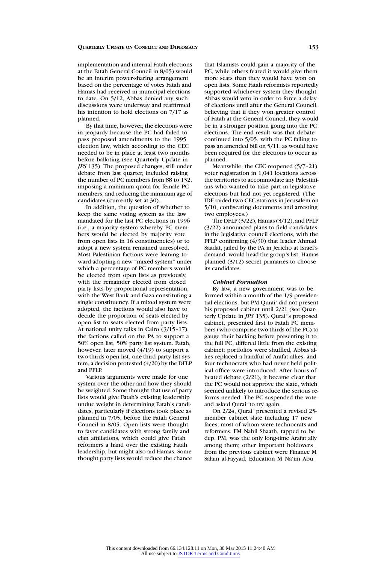implementation and internal Fatah elections at the Fatah General Council in 8/05) would be an interim power-sharing arrangement based on the percentage of votes Fatah and Hamas had received in municipal elections to date. On 5/12, Abbas denied any such discussions were underway and reaffirmed his intention to hold elections on 7/17 as planned.

By that time, however, the elections were in jeopardy because the PC had failed to pass proposed amendments to the 1995 election law, which according to the CEC needed to be in place at least two months before balloting (see Quarterly Update in *JPS* 135). The proposed changes, still under debate from last quarter, included raising the number of PC members from 88 to 132, imposing a minimum quota for female PC members, and reducing the minimum age of candidates (currently set at 30).

In addition, the question of whether to keep the same voting system as the law mandated for the last PC elections in 1996 (i.e., a majority system whereby PC members would be elected by majority vote from open lists in 16 constituencies) or to adopt a new system remained unresolved. Most Palestinian factions were leaning toward adopting a new "mixed system" under which a percentage of PC members would be elected from open lists as previously, with the remainder elected from closed party lists by proportional representation, with the West Bank and Gaza constituting a single constituency. If a mixed system were adopted, the factions would also have to decide the proportion of seats elected by open list to seats elected from party lists. At national unity talks in Cairo (3/15–17), the factions called on the PA to support a 50% open list, 50% party list system. Fatah, however, later moved (4/19) to support a two-thirds open list, one-third party list system, a decision protested (4/20) by the DFLP and PFLP.

Various arguments were made for one system over the other and how they should be weighted. Some thought that use of party lists would give Fatah's existing leadership undue weight in determining Fatah's candidates, particularly if elections took place as planned in 7/05, before the Fatah General Council in 8/05. Open lists were thought to favor candidates with strong family and clan affiliations, which could give Fatah reformers a hand over the existing Fatah leadership, but might also aid Hamas. Some thought party lists would reduce the chance

that Islamists could gain a majority of the PC, while others feared it would give them more seats than they would have won on open lists. Some Fatah reformists reportedly supported whichever system they thought Abbas would veto in order to force a delay of elections until after the General Council, believing that if they won greater control of Fatah at the General Council, they would be in a stronger position going into the PC elections. The end result was that debate continued into 5/05, with the PC failing to pass an amended bill on 5/11, as would have been required for the elections to occur as planned.

Meanwhile, the CEC reopened (5/7–21) voter registration in 1,041 locations across the territories to accommodate any Palestinians who wanted to take part in legislative elections but had not yet registered. (The IDF raided two CEC stations in Jerusalem on 5/10, confiscating documents and arresting two employees.)

The DFLP (3/22), Hamas (3/12), and PFLP (3/22) announced plans to field candidates in the legislative council elections, with the PFLP confirming (4/30) that leader Ahmad Saadat, jailed by the PA in Jericho at Israel's demand, would head the group's list. Hamas planned (3/12) secret primaries to choose its candidates.

# *Cabinet Formation*

By law, a new government was to be formed within a month of the 1/9 presidential elections, but PM Qurai' did not present his proposed cabinet until 2/21 (see Quarterly Update in *JPS* 135). Qurai''s proposed cabinet, presented first to Fatah PC members (who comprise two-thirds of the PC) to gauge their backing before presenting it to the full PC, differed little from the existing cabinet: portfolios were shuffled, Abbas allies replaced a handful of Arafat allies, and four technocrats who had never held political office were introduced. After hours of heated debate (2/21), it became clear that the PC would not approve the slate, which seemed unlikely to introduce the serious reforms needed. The PC suspended the vote and asked Qurai' to try again.

On 2/24, Qurai' presented a revised 25 member cabinet slate including 17 new faces, most of whom were technocrats and reformers. FM Nabil Shaath, tapped to be dep. PM, was the only long-time Arafat ally among them; other important holdovers from the previous cabinet were Finance M Salam al-Fayyad, Education M Na'im Abu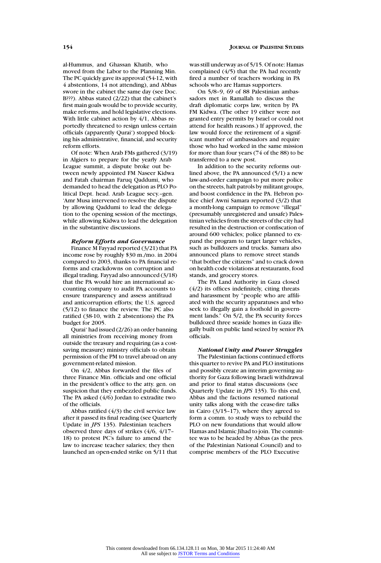al-Hummus, and Ghassan Khatib, who moved from the Labor to the Planning Min. The PC quickly gave its approval (54-12, with 4 abstentions, 14 not attending), and Abbas swore in the cabinet the same day (see Doc. B???). Abbas stated (2/22) that the cabinet's first main goals would be to provide security, make reforms, and hold legislative elections. With little cabinet action by 4/1, Abbas reportedly threatened to resign unless certain officials (apparently Qurai') stopped blocking his administrative, financial, and security reform efforts.

Of note: When Arab FMs gathered (3/19) in Algiers to prepare for the yearly Arab League summit, a dispute broke out between newly appointed FM Naseer Kidwa and Fatah chairman Faruq Qaddumi, who demanded to head the delegation as PLO Political Dept. head. Arab League secy.–gen. 'Amr Musa intervened to resolve the dispute by allowing Qaddumi to lead the delegation to the opening session of the meetings, while allowing Kidwa to lead the delegation in the substantive discussions.

## *Reform Efforts and Governance*

Finance M Fayyad reported (3/21) that PA income rose by roughly \$30 m./mo. in 2004 compared to 2003, thanks to PA financial reforms and crackdowns on corruption and illegal trading. Fayyad also announced (3/18) that the PA would hire an international accounting company to audit PA accounts to ensure transparency and assess antifraud and anticorruption efforts; the U.S. agreed (5/12) to finance the review. The PC also ratified (38-10, with 2 abstentions) the PA budget for 2005.

Qurai' had issued (2/26) an order banning all ministries from receiving money from outside the treasury and requiring (as a costsaving measure) ministry officials to obtain permission of the PM to travel abroad on any government-related mission.

On 4/2, Abbas forwarded the files of three Finance Min. officials and one official in the president's office to the atty. gen. on suspicion that they embezzled public funds. The PA asked (4/6) Jordan to extradite two of the officials.

Abbas ratified  $(4/3)$  the civil service law after it passed its final reading (see Quarterly Update in *JPS* 135). Palestinian teachers observed three days of strikes (4/6, 4/17– 18) to protest PC's failure to amend the law to increase teacher salaries; they then launched an open-ended strike on 5/11 that wasstill underway as of 5/15. Of note: Hamas complained (4/5) that the PA had recently fired a number of teachers working in PA schools who are Hamas supporters.

On 5/8–9, 69 of 88 Palestinian ambassadors met in Ramallah to discuss the draft diplomatic corps law, writen by PA FM Kidwa. (The other 19 either were not granted entry permits by Israel or could not attend for health reasons.) If approved, the law would force the retirement of a significant number of ambassadors and require those who had worked in the same mission for more than four years (74 of the 88) to be transferred to a new post.

In addition to the security reforms outlined above, the PA announced (5/1) a new law-and-order campaign to put more police on the streets, halt patrols by militant groups, and boost confidence in the PA. Hebron police chief Awni Samara reported (3/2) that a month-long campaign to remove "illegal" (presumably unregistered and unsafe) Palestinian vehicles from the streets of the city had resulted in the destruction or confiscation of around 600 vehicles; police planned to expand the program to target larger vehicles, such as bulldozers and trucks. Samara also announced plans to remove street stands "that bother the citizens" and to crack down on health code violations at restaurants, food stands, and grocery stores.

The PA Land Authority in Gaza closed (4/2) its offices indefinitely, citing threats and harassment by "people who are affiliated with the security apparatuses and who seek to illegally gain a foothold in government lands." On 5/2, the PA security forces bulldozed three seaside homes in Gaza illegally built on public land seized by senior PA officials.

*National Unity and Power Struggles* The Palestinian factions continued efforts this quarter to revive PA and PLO institutions and possibly create an interim governing authority for Gaza following Israeli withdrawal and prior to final status discussions (see Quarterly Update in *JPS* 135). To this end, Abbas and the factions resumed national unity talks along with the cease-fire talks in Cairo (3/15–17), where they agreed to form a comm. to study ways to rebuild the PLO on new foundations that would allow Hamas and Islamic Jihad to join. The committee was to be headed by Abbas (as the pres. of the Palestinian National Council) and to comprise members of the PLO Executive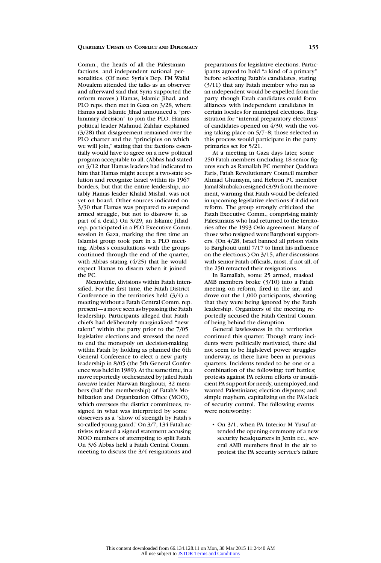Comm., the heads of all the Palestinian factions, and independent national personalities. (Of note: Syria's Dep. FM Walid Moualem attended the talks as an observer and afterward said that Syria supported the reform moves.) Hamas, Islamic Jihad, and PLO reps. then met in Gaza on 3/28, where Hamas and Islamic Jihad announced a "preliminary decision" to join the PLO. Hamas political leader Mahmud Zahhar explained (3/28) that disagreement remained over the PLO charter and the "principles on which we will join," stating that the factions essentially would have to agree on a new political program acceptable to all. (Abbas had stated on 3/12 that Hamas leaders had indicated to him that Hamas might accept a two-state solution and recognize Israel within its 1967 borders, but that the entire leadership, notably Hamas leader Khalid Mishal, was not yet on board. Other sources indicated on 3/30 that Hamas was prepared to suspend armed struggle, but not to disavow it, as part of a deal.) On 3/29, an Islamic Jihad rep. participated in a PLO Executive Comm. session in Gaza, marking the first time an Islamist group took part in a PLO meeting. Abbas's consultations with the groups continued through the end of the quarter, with Abbas stating (4/25) that he would expect Hamas to disarm when it joined the PC.

Meanwhile, divisions within Fatah intensified. For the first time, the Fatah District Conference in the territories held (3/4) a meeting without a Fatah Central Comm. rep. present—a move seen as bypassing the Fatah leadership. Participants alleged that Fatah chiefs had deliberately marginalized "new talent" within the party prior to the 7/05 legislative elections and stressed the need to end the monopoly on decision-making within Fatah by holding as planned the 6th General Conference to elect a new party leadership in 8/05 (the 5th General Conference was held in 1989). At the same time, in a move reportedly orchestrated by jailed Fatah *tanzim* leader Marwan Barghouti, 32 members (half the membership) of Fatah's Mobilization and Organization Office (MOO), which oversees the district committees, resigned in what was interpreted by some observers as a "show of strength by Fatah's so-called young guard." On 3/7, 134 Fatah activists released a signed statement accusing MOO members of attempting to split Fatah. On 3/6 Abbas held a Fatah Central Comm. meeting to discuss the 3/4 resignations and

preparations for legislative elections. Participants agreed to hold "a kind of a primary" before selecting Fatah's candidates, stating (3/11) that any Fatah member who ran as an independent would be expelled from the party, though Fatah candidates could form alliances with independent candidates in certain locales for municipal elections. Registration for "internal preparatory elections" of candidates opened on 4/30, with the voting taking place on 5/7–8; those selected in this process would participate in the party primaries set for 5/21.

At a meeting in Gaza days later, some 250 Fatah members (including 18 senior figures such as Ramallah PC member Qaddura Faris, Fatah Revolutionary Council member Ahmad Ghunaym, and Hebron PC member Jamal Shubaki) resigned (3/9) from the movement, warning that Fatah would be defeated in upcoming legislative elections if it did not reform. The group strongly criticized the Fatah Executive Comm., comprising mainly Palestinians who had returned to the territories after the 1993 Oslo agreement. Many of those who resigned were Barghouti supporters. (On 4/28, Israel banned all prison visits to Barghouti until 7/17 to limit his influence on the elections.) On 3/15, after discussions with senior Fatah officials, most, if not all, of the 250 retracted their resignations.

In Ramallah, some 25 armed, masked AMB members broke (3/10) into a Fatah meeting on reform, fired in the air, and drove out the 1,000 participants, shouting that they were being ignored by the Fatah leadership. Organizers of the meeting reportedly accused the Fatah Central Comm. of being behind the disruption.

General lawlessness in the territories continued this quarter. Though many incidents were politically motivated, there did not seem to be high-level power struggles underway, as there have been in previous quarters. Incidents tended to be one or a combination of the following: turf battles; protests against PA reform efforts or insufficient PA support for needy, unemployed, and wanted Palestinians; election disputes; and simple mayhem, capitalizing on the PA's lack of security control. The following events were noteworthy:

• On  $3/1$ , when PA Interior M Yusuf attended the opening ceremony of a new security headquarters in Jenin r.c., several AMB members fired in the air to protest the PA security service's failure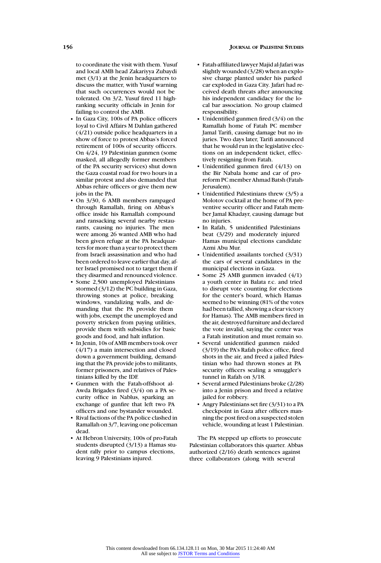#### **156 JOURNAL OF PALESTINE STUDIES**

to coordinate the visit with them. Yusuf and local AMB head Zakariyya Zubaydi met (3/1) at the Jenin headquarters to discuss the matter, with Yusuf warning that such occurrences would not be tolerated. On 3/2, Yusuf fired 11 highranking security officials in Jenin for failing to control the AMB.

- In Gaza City, 100s of PA police officers loyal to Civil Affairs M Dahlan gathered (4/21) outside police headquarters in a show of force to protest Abbas's forced retirement of 100s of security officers. On 4/24, 19 Palestinian gunmen (some masked, all allegedly former members of the PA security services) shut down the Gaza coastal road for two hours in a similar protest and also demanded that Abbas rehire officers or give them new jobs in the PA.
- On 3/30, 6 AMB members rampaged through Ramallah, firing on Abbas's office inside his Ramallah compound and ransacking several nearby restaurants, causing no injuries. The men were among 26 wanted AMB who had been given refuge at the PA headquarters for more than a year to protect them from Israeli assassination and who had been ordered to leave earlier that day, after Israel promised not to target them if they disarmed and renounced violence.
- Some 2,500 unemployed Palestinians stormed (3/12) the PC building in Gaza, throwing stones at police, breaking windows, vandalizing walls, and demanding that the PA provide them with jobs, exempt the unemployed and poverty stricken from paying utilities, provide them with subsidies for basic goods and food, and halt inflation.
- In Jenin, 10s of AMB members took over (4/17) a main intersection and closed down a government building, demanding that the PA provide jobs to militants, former prisoners, and relatives of Palestinians killed by the IDF.
- Gunmen with the Fatah-offshoot al-Awda Brigades fired (3/4) on a PA security office in Nablus, sparking an exchange of gunfire that left two PA officers and one bystander wounded.
- Rival factions of the PA police clashed in Ramallah on 3/7, leaving one policeman dead.
- At Hebron University, 100s of pro-Fatah students disrupted (3/13) a Hamas student rally prior to campus elections, leaving 9 Palestinians injured.
- Fatah-affiliated lawyer Majid al-Jafari was slightly wounded (3/28) when an explosive charge planted under his parked car exploded in Gaza City. Jafari had received death threats after announcing his independent candidacy for the local bar association. No group claimed responsibility.
- Unidentified gunmen fired (3/4) on the Ramallah home of Fatah PC member Jamal Tarifi, causing damage but no injuries. Two days later. Tarifi announced that he would run in the legislative elections on an independent ticket, effectively resigning from Fatah.
- Unidentified gunmen fired (4/13) on the Bir Nabala home and car of proreform PC member Ahmad Batsh (Fatah-Jerusalem).
- Unidentified Palestinians threw (3/5) a Molotov cocktail at the home of PA preventive security officer and Fatah member Jamal Khadayr, causing damage but no injuries.
- In Rafah, 5 unidentified Palestinians beat (3/29) and moderately injured Hamas municipal elections candidate Azmi Abu Mur.
- Unidentified assailants torched (3/31) the cars of several candidates in the municipal elections in Gaza.
- Some 25 AMB gunmen invaded (4/1) a youth center in Balata r.c. and tried to disrupt vote counting for elections for the center's board, which Hamas seemed to be winning (81% of the votes had been tallied, showing a clear victory for Hamas). The AMB members fired in the air, destroyed furniture and declared the vote invalid, saying the center was a Fatah institution and must remain so.
- Several unidentified gunmen raided (3/19) the PA's Rafah police office, fired shots in the air, and freed a jailed Palestinian who had thrown stones at PA security officers sealing a smuggler's tunnel in Rafah on 3/18.
- Several armed Palestinians broke (2/28) into a Jenin prison and freed a relative jailed for robbery.
- Angry Palestinians set fire (3/31) to a PA checkpoint in Gaza after officers manning the post fired on a suspected stolen vehicle, wounding at least 1 Palestinian.

The PA stepped up efforts to prosecute Palestinian collaborators this quarter. Abbas authorized (2/16) death sentences against three collaborators (along with several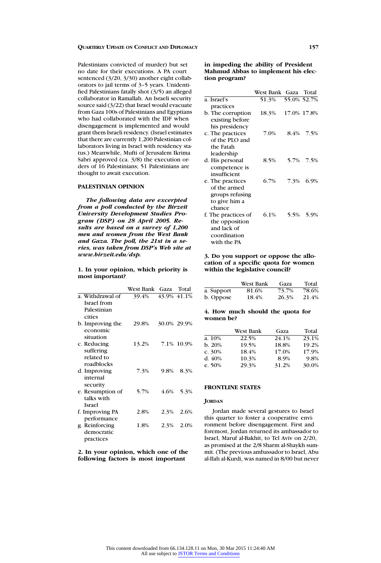Palestinians convicted of murder) but set no date for their executions. A PA court sentenced (3/20, 3/30) another eight collaborators to jail terms of 3–5 years. Unidentified Palestinians fatally shot (3/5) an alleged collaborator in Ramallah. An Israeli security source said (3/22) that Israel would evacuate from Gaza 100s of Palestinians and Egyptians who had collaborated with the IDF when disengagement is implemented and would grant them Israeli residency. (Israel estimates that there are currently 1,200 Palestinian collaborators living in Israel with residency status.) Meanwhile, Mufti of Jerusalem Ikrima Sabri approved (ca.  $3/8$ ) the execution orders of 16 Palestinians; 51 Palestinians are thought to await execution.

## **PALESTINIAN OPINION**

*The following data are excerpted from a poll conducted by the Birzeit University Development Studies Program (DSP) on 28 April 2005. Results are based on a survey of 1,200 men and women from the West Bank and Gaza. The poll, the 21st in a series, was taken from DSP's Web site at www.birzeit.edu/dsp.*

**1. In your opinion, which priority is most important?**

|                    | West Bank   Gaza |      | Total       |
|--------------------|------------------|------|-------------|
| a. Withdrawal of   | 39.4%            |      | 43.9% 41.1% |
| <b>Israel</b> from |                  |      |             |
| Palestinian        |                  |      |             |
| cities             |                  |      |             |
| b. Improving the   | 29.8%            |      | 30.0% 29.9% |
| economic           |                  |      |             |
| situation          |                  |      |             |
| c. Reducing        | 13.2%            |      | 7.1% 10.9%  |
| suffering          |                  |      |             |
| related to         |                  |      |             |
| roadblocks         |                  |      |             |
| d. Improving       | 7.3%             | 9.8% | 8.3%        |
| internal           |                  |      |             |
| security           |                  |      |             |
| e. Resumption of   | 5.7%             | 4.6% | 5.3%        |
| talks with         |                  |      |             |
| <b>Israel</b>      |                  |      |             |
| f. Improving PA    | 2.8%             | 2.3% | 2.6%        |
| performance        |                  |      |             |
| g. Reinforcing     | 1.8%             | 2.3% | 2.0%        |
| democratic         |                  |      |             |
| practices          |                  |      |             |

**2. In your opinion, which one of the following factors is most important**

**in impeding the ability of President Mahmud Abbas to implement his election program?**

|                     | West Bank Gaza |             | Total |
|---------------------|----------------|-------------|-------|
| a. Israel's         | 51.3%          | 55.0% 52.7% |       |
| practices           |                |             |       |
| b. The corruption   | 18.3%          | 17.0% 17.8% |       |
| existing before     |                |             |       |
| his presidency      |                |             |       |
| c. The practices    | 7.0%           | 8.4%        | 7.5%  |
| of the PLO and      |                |             |       |
| the Fatah           |                |             |       |
| leadership          |                |             |       |
| d. His personal     | 8.5%           | 5.7%        | 7.5%  |
| competence is       |                |             |       |
| insufficient        |                |             |       |
| e. The practices    | 6.7%           | 7.3%        | 6.9%  |
| of the armed        |                |             |       |
| groups refusing     |                |             |       |
| to give him a       |                |             |       |
| chance              |                |             |       |
| f. The practices of | 6.1%           | 5.5%        | 5.9%  |
| the opposition      |                |             |       |
| and lack of         |                |             |       |
| coordination        |                |             |       |
| with the PA         |                |             |       |

# **3. Do you support or oppose the allocation of a specific quota for women within the legislative council?**

|            | West Bank | Gaza  | Total |
|------------|-----------|-------|-------|
| a. Support | 81.6%     | 73.7% | 78.6% |
| b. Oppose  | 18.4%     | 26.3% | 21.4% |

# **4. How much should the quota for women be?**

|        | <b>West Bank</b> | Gaza  | Total |
|--------|------------------|-------|-------|
| a. 10% | 22.5%            | 24.1% | 23.1% |
| b. 20% | 19.5%            | 18.8% | 19.2% |
| c. 30% | 18.4%            | 17.0% | 17.9% |
| d. 40% | 10.3%            | 8.9%  | 9.8%  |
| e. 50% | 29.3%            | 31.2% | 30.0% |

### **FRONTLINE STATES**

#### **JORDAN**

Jordan made several gestures to Israel this quarter to foster a cooperative environment before disengagement. First and foremost, Jordan returned its ambassador to Israel, Maruf al-Bakhit, to Tel Aviv on 2/20, as promised at the 2/8 Sharm al-Shaykh summit. (The previous ambassador to Israel, Abu al-Ilah al-Kurdi, was named in 8/00 but never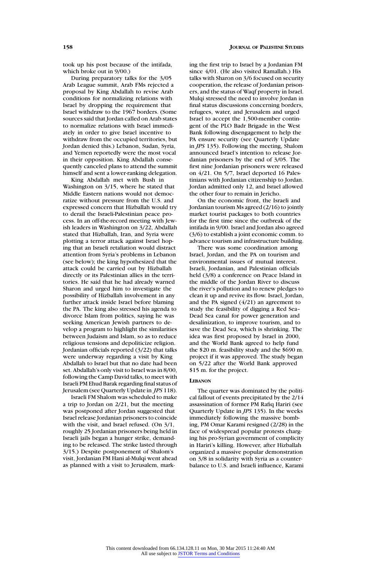took up his post because of the intifada, which broke out in 9/00.)

During preparatory talks for the 3/05 Arab League summit, Arab FMs rejected a proposal by King Abdallah to revise Arab conditions for normalizing relations with Israel by dropping the requirement that Israel withdraw to the 1967 borders. (Some sources said that Jordan called on Arab states to normalize relations with Israel immediately in order to give Israel incentive to withdraw from the occupied territories, but Jordan denied this.) Lebanon, Sudan, Syria, and Yemen reportedly were the most vocal in their opposition. King Abdallah consequently canceled plans to attend the summit himself and sent a lower-ranking delegation.

King Abdallah met with Bush in Washington on 3/15, where he stated that Middle Eastern nations would not democratize without pressure from the U.S. and expressed concern that Hizballah would try to derail the Israeli-Palestinian peace process. In an off-the-record meeting with Jewish leaders in Washington on 3/22, Abdallah stated that Hizballah, Iran, and Syria were plotting a terror attack against Israel hoping that an Israeli retaliation would distract attention from Syria's problems in Lebanon (see below); the king hypothesized that the attack could be carried out by Hizballah directly or its Palestinian allies in the territories. He said that he had already warned Sharon and urged him to investigate the possibility of Hizballah involvement in any further attack inside Israel before blaming the PA. The king also stressed his agenda to divorce Islam from politics, saying he was seeking American Jewish partners to develop a program to highlight the similarities between Judaism and Islam, so as to reduce religious tensions and depoliticize religion. Jordanian officials reported (3/22) that talks were underway regarding a visit by King Abdallah to Israel but that no date had been set. Abdallah's only visit to Israel was in 8/00, following the Camp David talks, to meet with Israeli PM Ehud Barak regarding final status of Jerusalem (see Quarterly Update in *JPS* 118).

Israeli FM Shalom was scheduled to make a trip to Jordan on 2/21, but the meeting was postponed after Jordan suggested that Israel release Jordanian prisoners to coincide with the visit, and Israel refused. (On 3/1, roughly 25 Jordanian prisoners being held in Israeli jails began a hunger strike, demanding to be released. The strike lasted through 3/15.) Despite postponement of Shalom's visit, Jordanian FM Hani al-Mulqi went ahead as planned with a visit to Jerusalem, marking the first trip to Israel by a Jordanian FM since 4/01. (He also visited Ramallah.) His talks with Sharon on 3/6 focused on security cooperation, the release of Jordanian prisoners, and the status of Waqf property in Israel. Mulqi stressed the need to involve Jordan in final status discussions concerning borders, refugees, water, and Jerusalem and urged Israel to accept the 1,500-member contingent of the PLO Badr Brigade in the West Bank following disengagement to help the PA ensure security (see Quarterly Update in *JPS* 135). Following the meeting, Shalom announced Israel's intention to release Jordanian prisoners by the end of 3/05. The first nine Jordanian prisoners were released on 4/21. On 5/7, Israel deported 16 Palestinians with Jordanian citizenship to Jordan. Jordan admitted only 12, and Israel allowed the other four to remain in Jericho.

On the economic front, the Israeli and Jordanian tourism Ms agreed (2/16) to jointly market tourist packages to both countries for the first time since the outbreak of the intifada in 9/00. Israel and Jordan also agreed (3/6) to establish a joint economic comm. to advance tourism and infrastructure building.

There was some coordination among Israel, Jordan, and the PA on tourism and environmental issues of mutual interest. Israeli, Jordanian, and Palestinian officials held (3/8) a conference on Peace Island in the middle of the Jordan River to discuss the river's pollution and to renew pledges to clean it up and revive its flow. Israel, Jordan, and the PA signed (4/21) an agreement to study the feasibility of digging a Red Sea– Dead Sea canal for power generation and desalinization, to improve tourism, and to save the Dead Sea, which is shrinking. The idea was first proposed by Israel in 2000, and the World Bank agreed to help fund the \$20 m. feasibility study and the \$690 m. project if it was approved. The study began on 5/22 after the World Bank approved \$15 m. for the project.

#### **LEBANON**

The quarter was dominated by the political fallout of events precipitated by the 2/14 assassination of former PM Rafiq Hariri (see Quarterly Update in *JPS* 135). In the weeks immediately following the massive bombing, PM Omar Karami resigned (2/28) in the face of widespread popular protests charging his pro-Syrian government of complicity in Hariri's killing. However, after Hizballah organized a massive popular demonstration on 3/8 in solidarity with Syria as a counterbalance to U.S. and Israeli influence, Karami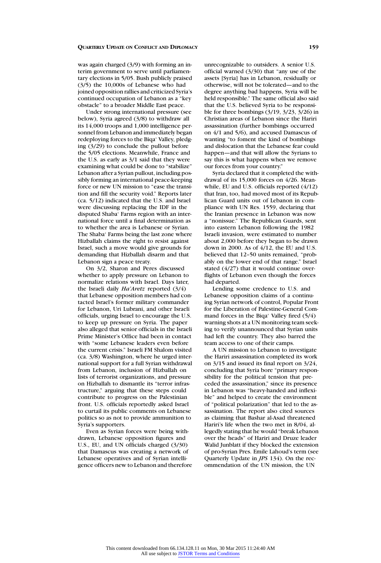was again charged (3/9) with forming an interim government to serve until parliamentary elections in 5/05. Bush publicly praised (3/5) the 10,000s of Lebanese who had joined opposition rallies and criticized Syria's continued occupation of Lebanon as a "key obstacle" to a broader Middle East peace.

Under strong international pressure (see below), Syria agreed (3/8) to withdraw all its 14,000 troops and 1,000 intelligence personnel from Lebanon and immediately began redeploying forces to the Biqa' Valley, pledging (3/29) to conclude the pullout before the 5/05 elections. Meanwhile, France and the U.S. as early as 3/1 said that they were examining what could be done to "stabilize" Lebanon after a Syrian pullout, including possibly forming an international peace-keeping force or new UN mission to "ease the transition and fill the security void." Reports later (ca. 5/12) indicated that the U.S. and Israel were discussing replacing the IDF in the disputed Shaba' Farms region with an international force until a final determination as to whether the area is Lebanese or Syrian. The Shaba' Farms being the last zone where Hizballah claims the right to resist against Israel, such a move would give grounds for demanding that Hizballah disarm and that Lebanon sign a peace treaty.

On 3/2, Sharon and Peres discussed whether to apply pressure on Lebanon to normalize relations with Israel. Days later, the Israeli daily *Ha'Aretz* reported (3/4) that Lebanese opposition members had contacted Israel's former military commander for Lebanon, Uri Lubrani, and other Israeli officials, urging Israel to encourage the U.S. to keep up pressure on Syria. The paper also alleged that senior officials in the Israeli Prime Minister's Office had been in contact with "some Lebanese leaders even before the current crisis." Israeli FM Shalom visited (ca. 3/8) Washington, where he urged international support for a full Syrian withdrawal from Lebanon, inclusion of Hizballah on lists of terrorist organizations, and pressure on Hizballah to dismantle its "terror infrastructure," arguing that these steps could contribute to progress on the Palestinian front. U.S. officials reportedly asked Israel to curtail its public comments on Lebanese politics so as not to provide ammunition to Syria's supporters.

Even as Syrian forces were being withdrawn, Lebanese opposition figures and U.S., EU, and UN officials charged (3/30) that Damascus was creating a network of Lebanese operatives and of Syrian intelligence officers new to Lebanon and therefore unrecognizable to outsiders. A senior U.S. official warned (3/30) that "any use of the assets [Syria] has in Lebanon, residually or otherwise, will not be tolerated—and to the degree anything bad happens, Syria will be held responsible." The same official also said that the U.S. believed Syria to be responsible for three bombings (3/19, 3/23, 3/26) in Christian areas of Lebanon since the Hariri assassination (further bombings occurred on 4/1 and 5/6), and accused Damascus of wanting "to foment the kind of bombings and dislocation that the Lebanese fear could happen—and that will allow the Syrians to say this is what happens when we remove our forces from your country."

Syria declared that it completed the withdrawal of its 15,000 forces on 4/26. Meanwhile, EU and U.S. officials reported (4/12) that Iran, too, had moved most of its Republican Guard units out of Lebanon in compliance with UN Res. 1559, declaring that the Iranian presence in Lebanon was now a "nonissue." The Republican Guards, sent into eastern Lebanon following the 1982 Israeli invasion, were estimated to number about 2,000 before they began to be drawn down in 2000. As of 4/12, the EU and U.S. believed that 12–50 units remained, "probably on the lower end of that range." Israel stated (4/27) that it would continue overflights of Lebanon even though the forces had departed.

Lending some credence to U.S. and Lebanese opposition claims of a continuing Syrian network of control, Popular Front for the Liberation of Palestine-General Command forces in the Biqa' Valley fired (5/4) warning shots at a UN monitoring team seeking to verify unannounced that Syrian units had left the country. They also barred the team access to one of their camps.

A UN mission to Lebanon to investigate the Hariri assassination completed its work on 3/15 and issued its final report on 3/24, concluding that Syria bore "primary responsibility for the political tension that preceded the assassination," since its presence in Lebanon was "heavy-handed and inflexible" and helped to create the environment of "political polarization" that led to the assassination. The report also cited sources as claiming that Bashar al-Asad threatened Hariri's life when the two met in 8/04, allegedly stating that he would "break Lebanon over the heads" of Hariri and Druze leader Walid Junblatt if they blocked the extension of pro-Syrian Pres. Emile Lahoud's term (see Quarterly Update in *JPS* 134). On the recommendation of the UN mission, the UN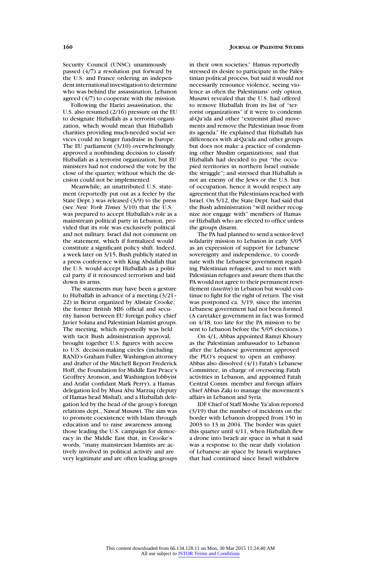Security Council (UNSC) unanimously passed (4/7) a resolution put forward by the U.S. and France ordering an independent international investigation to determine who was behind the assassination. Lebanon agreed (4/7) to cooperate with the mission.

Following the Hariri assassination, the U.S. also resumed (2/16) pressure on the EU to designate Hizballah as a terrorist organization, which would mean that Hizballah charities providing much-needed social services could no longer fundraise in Europe. The EU parliament (3/10) overwhelmingly approved a nonbinding decision to classify Hizballah as a terrorist organization, but EU ministers had not endorsed the vote by the close of the quarter, without which the decision could not be implemented.

Meanwhile, an unattributed U.S. statement (reportedly put out as a feeler by the State Dept.) was released (3/9) to the press (see *New York Times* 3/10) that the U.S. was prepared to accept Hizballah's role as a mainstream political party in Lebanon, provided that its role was exclusively political and not military. Israel did not comment on the statement, which if formalized would constitute a significant policy shift. Indeed, a week later on 3/15, Bush publicly stated in a press conference with King Abdallah that the U.S. would accept Hizballah as a political party if it renounced terrorism and laid down its arms.

The statements may have been a gesture to Hizballah in advance of a meeting (3/21– 22) in Beirut organized by Alistair Crooke, the former British MI6 official and security liaison between EU foreign policy chief Javier Solana and Palestinian Islamist groups. The meeting, which reportedly was held with tacit Bush administration approval, brought together U.S. figures with access to U.S. decision-making circles (including RAND's Graham Fuller, Washington attorney and drafter of the Mitchell Report Frederick Hoff, the Foundation for Middle East Peace's Geoffrey Aronson, and Washington lobbyist and Arafat confidant Mark Perry), a Hamas delegation led by Musa Abu Marzuq (deputy of Hamas head Mishal), and a Hizballah delegation led by the head of the group's foreign relations dept., Nawaf Musawi. The aim was to promote coexistence with Islam through education and to raise awareness among those leading the U.S. campaign for democracy in the Middle East that, in Crooke's words, "many mainstream Islamists are actively involved in political activity and are very legitimate and are often leading groups in their own societies." Hamas reportedly stressed its desire to participate in the Palestinian political process, but said it would not necessarily renounce violence, seeing violence as often the Palestinians' only option. Musawi revealed that the U.S. had offered to remove Hizballah from its list of "terrorist organizations" if it were to condemn al-Qa'ida and other "extremist jihad movements and remove the Palestinian issue from its agenda." He explained that Hizballah has differences with al-Qa'ida and other groups but does not make a practice of condemning other Muslim organizations; said that Hizballah had decided to put "the occupied territories in northern Israel outside the struggle"; and stressed that Hizballah is not an enemy of the Jews or the U.S. but of occupation, hence it would respect any agreement that the Palestinians reached with Israel. On 5/12, the State Dept. had said that the Bush administration "will neither recognize nor engage with" members of Hamas or Hizballah who are elected to office unless the groups disarm.

The PA had planned to send a senior-level solidarity mission to Lebanon in early 3/05 as an expression of support for Lebanese sovereignty and independence, to coordinate with the Lebanese government regarding Palestinian refugees, and to meet with Palestinian refugees and assure them that the PA would not agree to their permanent resettlement (*tawtin*) in Lebanon but would continue to fight for the right of return. The visit was postponed ca.  $3/19$ , since the interim Lebanese government had not been formed. (A caretaker government in fact was formed on 4/18, too late for the PA mission to be sent to Lebanon before the 5/05 elections.)

On 4/1, Abbas appointed Ramzi Khoury as the Palestinian ambassador to Lebanon after the Lebanese government approved the PLO's request to open an embassy. Abbas also dissolved (4/1) Fatah's Lebanese Committee, in charge of overseeing Fatah activities in Lebanon, and appointed Fatah Central Comm. member and foreign affairs chief Abbas Zaki to manage the movement's affairs in Lebanon and Syria.

IDF Chief of Staff Moshe Ya'alon reported (3/19) that the number of incidents on the border with Lebanon dropped from 150 in 2003 to 13 in 2004. The border was quiet this quarter until 4/11, when Hizballah flew a drone into Israeli air space in what it said was a response to the near daily violation of Lebanese air space by Israeli warplanes that had continued since Israel withdrew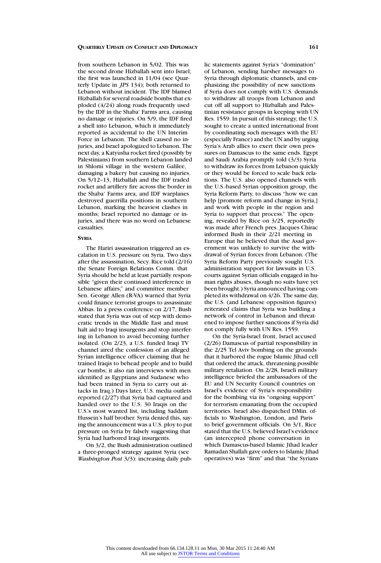from southern Lebanon in 5/02. This was the second drone Hizballah sent into Israel; the first was launched in 11/04 (see Quarterly Update in *JPS* 134); both returned to Lebanon without incident. The IDF blamed Hizballah for several roadside bombs that exploded (4/24) along roads frequently used by the IDF in the Shaba' Farms area, causing no damage or injuries. On 5/9, the IDF fired a shell into Lebanon, which it immediately reported as accidental to the UN Interim Force in Lebanon. The shell caused no injuries, and Israel apologized to Lebanon. The next day, a Katyusha rocket fired (possibly by Palestinians) from southern Lebanon landed in Shlomi village in the western Galilee, damaging a bakery but causing no injuries. On 5/12–13, Hizballah and the IDF traded rocket and artillery fire across the border in the Shaba' Farms area, and IDF warplanes destroyed guerrilla positions in southern Lebanon, marking the heaviest clashes in months; Israel reported no damage or injuries, and there was no word on Lebanese casualties.

## **SYRIA**

The Hariri assassination triggered an escalation in U.S. pressure on Syria. Two days after the assassination, Secy. Rice told (2/16) the Senate Foreign Relations Comm. that Syria should be held at least partially responsible "given their continued interference in Lebanese affairs," and committee member Sen. George Allen (R-VA) warned that Syria could finance terrorist groups to assassinate Abbas. In a press conference on 2/17, Bush stated that Syria was out of step with democratic trends in the Middle East and must halt aid to Iraqi insurgents and stop interfering in Lebanon to avoid becoming further isolated. (On 2/23, a U.S. funded Iraqi TV channel aired the confession of an alleged Syrian intelligence officer claiming that he trained Iraqis to behead people and to build car bombs; it also ran interviews with men identified as Egyptians and Sudanese who had been trained in Syria to carry out attacks in Iraq.) Days later, U.S. media outlets reported (2/27) that Syria had captured and handed over to the U.S. 30 Iraqis on the U.S.'s most wanted list, including Saddam Hussein's half brother. Syria denied this, saying the announcement was a U.S. ploy to put pressure on Syria by falsely suggesting that Syria had harbored Iraqi insurgents.

On 3/2, the Bush administration outlined a three-pronged strategy against Syria (see *Washington Post* 3/3): increasing daily public statements against Syria's "domination" of Lebanon, sending harsher messages to Syria through diplomatic channels, and emphasizing the possibility of new sanctions if Syria does not comply with U.S. demands to withdraw all troops from Lebanon and cut off all support to Hizballah and Palestinian resistance groups in keeping with UN Res. 1559. In pursuit of this strategy, the U.S. sought to create a united international front by coordinating such messages with the EU (especially France) and the UN and by urging Syria's Arab allies to exert their own pressures on Damascus to the same ends. Egypt and Saudi Arabia promptly told (3/3) Syria to withdraw its forces from Lebanon quickly or they would be forced to scale back relations. The U.S. also opened channels with the U.S.-based Syrian opposition group, the Syria Reform Party, to discuss "how we can help [promote reform and change in Syria,] and work with people in the region and Syria to support that process." The opening, revealed by Rice on 3/25, reportedly was made after French pres. Jacques Chirac informed Bush in their 2/21 meeting in Europe that he believed that the Asad government was unlikely to survive the withdrawal of Syrian forces from Lebanon. (The Syria Reform Party previously sought U.S. administration support for lawsuits in U.S. courts against Syrian officials engaged in human rights abuses, though no suits have yet been brought.) Syria announced having completed its withdrawal on 4/26. The same day, the U.S. (and Lebanese opposition figures) reiterated claims that Syria was building a network of control in Lebanon and threatened to impose further sanctions if Syria did not comply fully with UN Res. 1559.

On the Syria-Israel front, Israel accused (2/26) Damascus of partial responsibility in the 2/25 Tel Aviv bombing on the grounds that it harbored the rogue Islamic Jihad cell that ordered the attack, threatening possible military retaliation. On 2/28, Israeli military intelligence briefed the ambassadors of the EU and UN Security Council countries on Israel's evidence of Syria's responsibility for the bombing via its "ongoing support" for terrorism emanating from the occupied territories. Israel also dispatched DMin. officials to Washington, London, and Paris to brief government officials. On 3/1, Rice stated that the U.S. believed Israel's evidence (an intercepted phone conversation in which Damascus-based Islamic Jihad leader Ramadan Shallah gave orders to Islamic Jihad operatives) was "firm" and that "the Syrians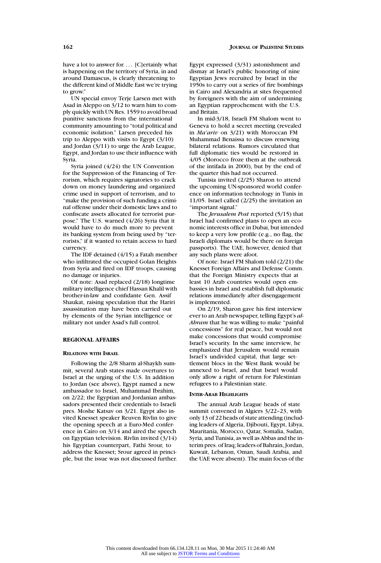have a lot to answer for.... [C]ertainly what is happening on the territory of Syria, in and around Damascus, is clearly threatening to the different kind of Middle East we're trying to grow."

UN special envoy Terje Larsen met with Asad in Aleppo on 3/12 to warn him to comply quickly with UN Res. 1559 to avoid broad punitive sanctions from the international community amounting to "total political and economic isolation." Larsen preceded his trip to Aleppo with visits to Egypt (3/10) and Jordan (3/11) to urge the Arab League, Egypt, and Jordan to use their influence with Syria.

Syria joined (4/24) the UN Convention for the Suppression of the Financing of Terrorism, which requires signatories to crack down on money laundering and organized crime used in support of terrorism, and to "make the provision of such funding a criminal offense under their domestic laws and to confiscate assets allocated for terrorist purpose." The U.S. warned (4/26) Syria that it would have to do much more to prevent its banking system from being used by "terrorists," if it wanted to retain access to hard currency.

The IDF detained (4/15) a Fatah member who infiltrated the occupied Golan Heights from Syria and fired on IDF troops, causing no damage or injuries.

Of note: Asad replaced (2/18) longtime military intelligence chief Hassan Khalil with brother-in-law and confidante Gen. Assif Shaukat, raising speculation that the Hariri assassination may have been carried out by elements of the Syrian intelligence or military not under Asad's full control.

#### **REGIONAL AFFAIRS**

#### **RELATIONS WITH ISRAEL**

Following the 2/8 Sharm al-Shaykh summit, several Arab states made overtures to Israel at the urging of the U.S. In addition to Jordan (see above), Egypt named a new ambassador to Israel, Muhammad Ibrahim, on 2/22; the Egyptian and Jordanian ambassadors presented their credentials to Israeli pres. Moshe Katsav on 3/21. Egypt also invited Knesset speaker Reuven Rivlin to give the opening speech at a Euro-Med conference in Cairo on 3/14 and aired the speech on Egyptian television. Rivlin invited (3/14) his Egyptian counterpart, Fathi Srour, to address the Knesset; Srour agreed in principle, but the issue was not discussed further. Egypt expressed (3/31) astonishment and dismay at Israel's public honoring of nine Egyptian Jews recruited by Israel in the 1950s to carry out a series of fire bombings in Cairo and Alexandria at sites frequented by foreigners with the aim of undermining an Egyptian rapprochement with the U.S. and Britain.

In mid-3/18, Israeli FM Shalom went to Geneva to hold a secret meeting (revealed in *Ma'ariv* on 3/21) with Moroccan FM Muhammad Benaissa to discuss renewing bilateral relations. Rumors circulated that full diplomatic ties would be restored in 4/05 (Morocco froze them at the outbreak of the intifada in 2000), but by the end of the quarter this had not occurred.

Tunisia invited (2/25) Sharon to attend the upcoming UN-sponsored world conference on information technology in Tunis in 11/05. Israel called (2/25) the invitation an "important signal."

The *Jerusalem Post* reported (5/15) that Israel had confirmed plans to open an economic interests office in Dubai, but intended to keep a very low profile (e.g., no flag, the Israeli diplomats would be there on foreign passports). The UAE, however, denied that any such plans were afoot.

Of note: Israel FM Shalom told (2/21) the Knesset Foreign Affairs and Defense Comm. that the Foreign Ministry expects that at least 10 Arab countries would open embassies in Israel and establish full diplomatic relations immediately after disengagement is implemented.

On 2/19, Sharon gave his first interview ever to an Arab newspaper, telling Egypt's *al-Ahram* that he was willing to make "painful concessions" for real peace, but would not make concessions that would compromise Israel's security. In the same interview, he emphasized that Jerusalem would remain Israel's undivided capital, that large settlement blocs in the West Bank would be annexed to Israel, and that Israel would only allow a right of return for Palestinian refugees to a Palestinian state.

#### **INTER-ARAB HIGHLIGHTS**

The annual Arab League heads of state summit convened in Algiers 3/22–23, with only 13 of 22 heads of state attending (including leaders of Algeria, Djibouti, Egypt, Libya, Mauritania, Morocco, Qatar, Somalia, Sudan, Syria, and Tunisia, as well as Abbas and the interim pres. of Iraq; leaders of Bahrain, Jordan, Kuwait, Lebanon, Oman, Saudi Arabia, and the UAE were absent). The main focus of the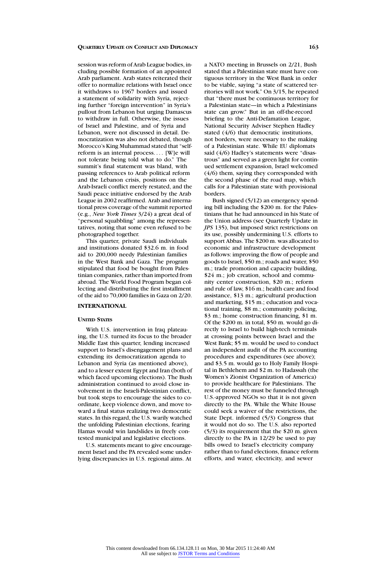session was reform of Arab League bodies, including possible formation of an appointed Arab parliament. Arab states reiterated their offer to normalize relations with Israel once it withdraws to 1967 borders and issued a statement of solidarity with Syria, rejecting further "foreign intervention" in Syria's pullout from Lebanon but urging Damascus to withdraw in full. Otherwise, the issues of Israel and Palestine, and of Syria and Lebanon, were not discussed in detail. Democratization was also not debated, though Morocco's King Muhammad stated that "selfreform is an internal process.... [W]e will not tolerate being told what to do." The summit's final statement was bland, with passing references to Arab political reform and the Lebanon crisis, positions on the Arab-Israeli conflict merely restated, and the Saudi peace initiative endorsed by the Arab League in 2002 reaffirmed. Arab and international press coverage of the summit reported (e.g., *New York Times* 3/24) a great deal of "personal squabbling" among the representatives, noting that some even refused to be photographed together.

This quarter, private Saudi individuals and institutions donated \$32.6 m. in food aid to 200,000 needy Palestinian families in the West Bank and Gaza. The program stipulated that food be bought from Palestinian companies, rather than imported from abroad. The World Food Program began collecting and distributing the first installment of the aid to 70,000 families in Gaza on 2/20.

# **INTERNATIONAL**

# **UNITED STATES**

With U.S. intervention in Iraq plateauing, the U.S. turned its focus to the broader Middle East this quarter, lending increased support to Israel's disengagement plans and extending its democratization agenda to Lebanon and Syria (as mentioned above), and to a lesser extent Egypt and Iran (both of which faced upcoming elections). The Bush administration continued to avoid close involvement in the Israeli-Palestinian conflict, but took steps to encourage the sides to coordinate, keep violence down, and move toward a final status realizing two democratic states. In this regard, the U.S. warily watched the unfolding Palestinian elections, fearing Hamas would win landslides in freely contested municipal and legislative elections.

U.S. statements meant to give encouragement Israel and the PA revealed some underlying discrepancies in U.S. regional aims. At a NATO meeting in Brussels on 2/21, Bush stated that a Palestinian state must have contiguous territory in the West Bank in order to be viable, saying "a state of scattered territories will not work." On 3/15, he repeated that "there must be continuous territory for a Palestinian state—in which a Palestinians state can grow." But in an off-the-record briefing to the Anti-Defamation League, National Security Adviser Stephen Hadley stated (4/6) that democratic institutions, not borders, were necessary to the making of a Palestinian state. While EU diplomats said (4/6) Hadley's statements were "disastrous" and served as a green light for continued settlement expansion, Israel welcomed (4/6) them, saying they corresponded with the second phase of the road map, which calls for a Palestinian state with provisional borders.

Bush signed (5/12) an emergency spending bill including the \$200 m. for the Palestinians that he had announced in his State of the Union address (see Quarterly Update in *JPS* 135), but imposed strict restrictions on its use, possibly undermining U.S. efforts to support Abbas. The \$200 m. was allocated to economic and infrastructure development as follows: improving the flow of people and goods to Israel, \$50 m.; roads and water, \$50 m.; trade promotion and capacity building, \$24 m.; job creation, school and community center construction, \$20 m.; reform and rule of law, \$16 m.; health care and food assistance, \$13 m.; agricultural production and marketing, \$15 m.; education and vocational training, \$8 m.; community policing, \$3 m.; home construction financing, \$1 m. Of the \$200 m. in total, \$50 m. would go directly to Israel to build high-tech terminals at crossing points between Israel and the West Bank; \$5 m. would be used to conduct an independent audit of the PA accounting procedures and expenditures (see above); and \$3.5 m. would go to Holy Family Hospital in Bethlehem and \$2 m. to Hadassah (the Women's Zionist Organization of America) to provide healthcare for Palestinians. The rest of the money must be funneled through U.S.-approved NGOs so that it is not given directly to the PA. While the White House could seek a waiver of the restrictions, the State Dept. informed (5/3) Congress that it would not do so. The U.S. also reported (5/3) its requirement that the \$20 m. given directly to the PA in 12/29 be used to pay bills owed to Israel's electricity company rather than to fund elections, finance reform efforts, and water, electricity, and sewer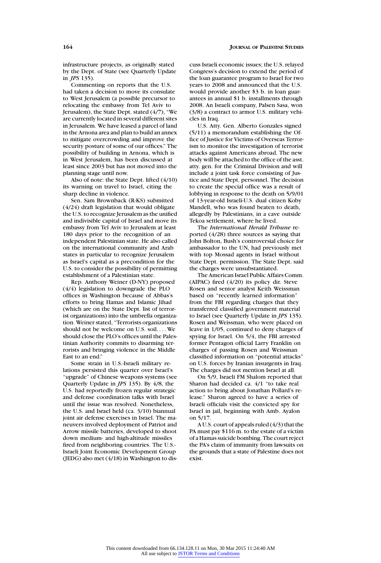infrastructure projects, as originally stated by the Dept. of State (see Quarterly Update in *JPS* 135).

Commenting on reports that the U.S. had taken a decision to move its consulate to West Jerusalem (a possible precursor to relocating the embassy from Tel Aviv to Jerusalem), the State Dept. stated (4/7), "We are currently located in several different sites in Jerusalem. We have leased a parcel of land in the Arnona area and plan to build an annex to mitigate overcrowding and improve the security posture of some of our offices." The possibility of building in Arnona, which is in West Jerusalem, has been discussed at least since 2003 but has not moved into the planning stage until now.

Also of note: the State Dept. lifted (4/10) its warning on travel to Israel, citing the sharp decline in violence.

Sen. Sam Brownback (R-KS) submitted (4/24) draft legislation that would obligate the U.S. to recognize Jerusalem as the unified and indivisible capital of Israel and move its embassy from Tel Aviv to Jerusalem at least 180 days prior to the recognition of an independent Palestinian state. He also called on the international community and Arab states in particular to recognize Jerusalem as Israel's capital as a precondition for the U.S. to consider the possibility of permitting establishment of a Palestinian state.

Rep. Anthony Weiner (D-NY) proposed (4/4) legislation to downgrade the PLO offices in Washington because of Abbas's efforts to bring Hamas and Islamic Jihad (which are on the State Dept. list of terrorist organizations) into the umbrella organization. Weiner stated, "Terrorists organizations should not be welcome on U.S. soil.... We should close the PLO's offices until the Palestinian Authority commits to disarming terrorists and bringing violence in the Middle East to an end."

Some strain in U.S.-Israeli military relations persisted this quarter over Israel's "upgrade" of Chinese weapons systems (see Quarterly Update in *JPS* 135). By 4/8, the U.S. had reportedly frozen regular strategic and defense coordination talks with Israel until the issue was resolved. Nonetheless, the U.S. and Israel held (ca. 3/10) biannual joint air defense exercises in Israel. The maneuvers involved deployment of Patriot and Arrow missile batteries, developed to shoot down medium- and high-altitude missiles fired from neighboring countries. The U.S.- Israeli Joint Economic Development Group (JEDG) also met (4/18) in Washington to discuss Israeli economic issues; the U.S. relayed Congress's decision to extend the period of the loan guarantee program to Israel for two years to 2008 and announced that the U.S. would provide another \$3 b. in loan guarantees in annual \$1 b. installments through 2008. An Israeli company, Palsen Sasa, won (3/8) a contract to armor U.S. military vehicles in Iraq.

U.S. Atty. Gen. Alberto Gonzales signed (5/11) a memorandum establishing the Office of Justice for Victims of Overseas Terrorism to monitor the investigation of terrorist attacks against Americans abroad. The new body will be attached to the office of the asst. atty. gen. for the Criminal Division and will include a joint task force consisting of Justice and State Dept. personnel. The decision to create the special office was a result of lobbying in response to the death on 5/9/01 of 13-year-old Israeli-U.S. dual citizen Koby Mandell, who was found beaten to death, allegedly by Palestinians, in a cave outside Tekoa settlement, where he lived.

The *International Herald Tribune* reported (4/28) three sources as saying that John Bolton, Bush's controversial choice for ambassador to the UN, had previously met with top Mossad agents in Israel without State Dept. permission. The State Dept. said the charges were unsubstantiated.

The American Israel Public Affairs Comm. (AIPAC) fired (4/20) its policy dir. Steve Rosen and senior analyst Keith Weissman based on "recently learned information" from the FBI regarding charges that they transferred classified government material to Israel (see Quarterly Update in *JPS* 135). Rosen and Weissman, who were placed on leave in 1/05, continued to deny charges of spying for Israel. On 5/4, the FBI arrested former Pentagon official Larry Franklin on charges of passing Rosen and Weissman classified information on "potential attacks" on U.S. forces by Iranian insurgents in Iraq. The charges did not mention Israel at all.

On 5/9, Israeli FM Shalom reported that Sharon had decided ca. 4/1 "to take real action to bring about Jonathan Pollard's release." Sharon agreed to have a series of Israeli officials visit the convicted spy for Israel in jail, beginning with Amb. Ayalon on 5/17.

A U.S. court of appeals ruled (4/3) that the PA must pay \$116 m. to the estate of a victim of a Hamas suicide bombing. The court reject the PA's claim of immunity from lawsuits on the grounds that a state of Palestine does not exist.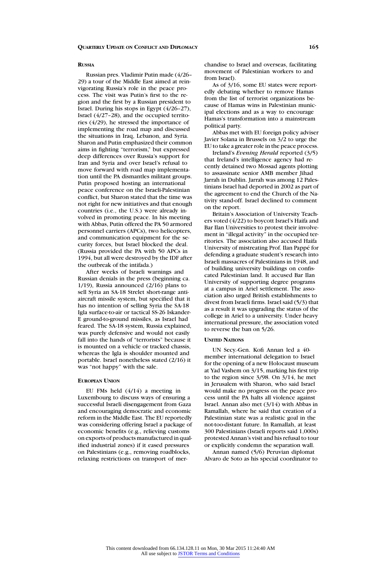#### **RUSSIA**

Russian pres. Vladimir Putin made (4/26– 29) a tour of the Middle East aimed at reinvigorating Russia's role in the peace process. The visit was Putin's first to the region and the first by a Russian president to Israel. During his stops in Egypt (4/26–27), Israel (4/27–28), and the occupied territories (4/29), he stressed the importance of implementing the road map and discussed the situations in Iraq, Lebanon, and Syria. Sharon and Putin emphasized their common aims in fighting "terrorism," but expressed deep differences over Russia's support for Iran and Syria and over Israel's refusal to move forward with road map implementation until the PA dismantles militant groups. Putin proposed hosting an international peace conference on the Israeli-Palestinian conflict, but Sharon stated that the time was not right for new initiatives and that enough countries (i.e., the U.S.) were already involved in promoting peace. In his meeting with Abbas, Putin offered the PA 50 armored personnel carriers (APCs), two helicopters, and communication equipment for the security forces, but Israel blocked the deal. (Russia provided the PA with 50 APCs in 1994, but all were destroyed by the IDF after the outbreak of the intifada.)

After weeks of Israeli warnings and Russian denials in the press (beginning ca. 1/19), Russia announced (2/16) plans to sell Syria an SA-18 Strelet short-range antiaircraft missile system, but specified that it has no intention of selling Syria the SA-18 Igla surface-to-air or tactical SS-26 Iskander-E ground-to-ground missiles, as Israel had feared. The SA-18 system, Russia explained, was purely defensive and would not easily fall into the hands of "terrorists" because it is mounted on a vehicle or tracked chassis, whereas the Igla is shoulder mounted and portable. Israel nonetheless stated (2/16) it was "not happy" with the sale.

#### **EUROPEAN UNION**

EU FMs held (4/14) a meeting in Luxembourg to discuss ways of ensuring a successful Israeli disengagement from Gaza and encouraging democratic and economic reform in the Middle East. The EU reportedly was considering offering Israel a package of economic benefits (e.g., relieving customs on exports of products manufactured in qualified industrial zones) if it eased pressures on Palestinians (e.g., removing roadblocks, relaxing restrictions on transport of merchandise to Israel and overseas, facilitating movement of Palestinian workers to and from Israel).

As of 3/16, some EU states were reportedly debating whether to remove Hamas from the list of terrorist organizations because of Hamas wins in Palestinian municipal elections and as a way to encourage Hamas's transformation into a mainstream political party.

Abbas met with EU foreign policy adviser Javier Solana in Brussels on 3/2 to urge the EU to take a greater role in the peace process.

Ireland's *Evening Herald* reported (3/5) that Ireland's intelligence agency had recently detained two Mossad agents plotting to assassinate senior AMB member Jihad Jarrah in Dublin. Jarrah was among 12 Palestinians Israel had deported in 2002 as part of the agreement to end the Church of the Nativity stand-off. Israel declined to comment on the report.

Britain's Association of University Teachers voted (4/22) to boycott Israel's Haifa and Bar Ilan Universities to protest their involvement in "illegal activity" in the occupied territories. The association also accused Haifa University of mistreating Prof. Ilan Pappé for defending a graduate student's research into Israeli massacres of Palestinians in 1948, and of building university buildings on confiscated Palestinian land. It accused Bar Ilan University of supporting degree programs at a campus in Ariel settlement. The association also urged British establishments to divest from Israeli firms. Israel said (5/3) that as a result it was upgrading the status of the college in Ariel to a university. Under heavy international pressure, the association voted to reverse the ban on 5/26.

#### **UNITED NATIONS**

UN Secy.-Gen. Kofi Annan led a 40 member international delegation to Israel for the opening of a new Holocaust museum at Yad Vashem on 3/15, marking his first trip to the region since 3/98. On 3/14, he met in Jerusalem with Sharon, who said Israel would make no progress on the peace process until the PA halts all violence against Israel. Annan also met (3/14) with Abbas in Ramallah, where he said that creation of a Palestinian state was a realistic goal in the not-too-distant future. In Ramallah, at least 300 Palestinians (Israeli reports said 1,000s) protested Annan's visit and his refusal to tour or explicitly condemn the separation wall.

Annan named (5/6) Peruvian diplomat Alvaro de Soto as his special coordinator to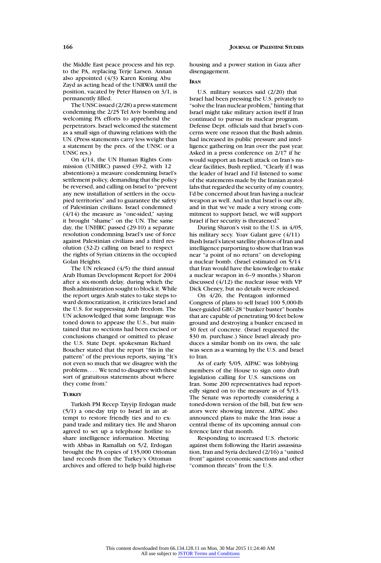the Middle East peace process and his rep. to the PA, replacing Terje Larsen. Annan also appointed (4/3) Karen Koning Abu Zayd as acting head of the UNRWA until the position, vacated by Peter Hansen on 3/1, is permanently filled.

The UNSC issued (2/28) a press statement condemning the 2/25 Tel Aviv bombing and welcoming PA efforts to apprehend the perpetrators. Israel welcomed the statement as a small sign of thawing relations with the UN. (Press statements carry less weight than a statement by the pres. of the UNSC or a UNSC res.)

On 4/14, the UN Human Rights Commission (UNHRC) passed (39-2, with 12 abstentions) a measure condemning Israel's settlement policy, demanding that the policy be reversed, and calling on Israel to "prevent any new installation of settlers in the occupied territories" and to guarantee the safety of Palestinian civilians. Israel condemned  $(4/14)$  the measure as "one-sided," saying it brought "shame" on the UN. The same day, the UNHRC passed (29-10) a separate resolution condemning Israel's use of force against Palestinian civilians and a third resolution (32-2) calling on Israel to respect the rights of Syrian citizens in the occupied Golan Heights.

The UN released  $(4/5)$  the third annual Arab Human Development Report for 2004 after a six-month delay, during which the Bush administration sought to block it. While the report urges Arab states to take steps toward democratization, it criticizes Israel and the U.S. for suppressing Arab freedom. The UN acknowledged that some language was toned down to appease the U.S., but maintained that no sections had been excised or conclusions changed or omitted to please the U.S. State Dept. spokesman Richard Boucher stated that the report "fits in the pattern" of the previous reports, saying "It's not even so much that we disagree with the problems. . . . We tend to disagree with these sort of gratuitous statements about where they come from."

# **TURKEY**

Turkish PM Recep Tayyip Erdogan made (5/1) a one-day trip to Israel in an attempt to restore friendly ties and to expand trade and military ties. He and Sharon agreed to set up a telephone hotline to share intelligence information. Meeting with Abbas in Ramallah on 5/2, Erdogan brought the PA copies of 135,000 Ottoman land records from the Turkey's Ottoman archives and offered to help build high-rise

housing and a power station in Gaza after disengagement.

## **IRAN**

U.S. military sources said (2/20) that Israel had been pressing the U.S. privately to "solve the Iran nuclear problem," hinting that Israel might take military action itself if Iran continued to pursue its nuclear program. Defense Dept. officials said that Israel's concerns were one reason that the Bush admin. had increased its public pressure and intelligence gathering on Iran over the past year. Asked in a press conference on 2/17 if he would support an Israeli attack on Iran's nuclear facilities, Bush replied, "Clearly if I was the leader of Israel and I'd listened to some of the statements made by the Iranian ayatollahs that regarded the security of my country, I'd be concerned about Iran having a nuclear weapon as well. And in that Israel is our ally, and in that we've made a very strong commitment to support Israel, we will support Israel if her security is threatened."

During Sharon's visit to the U.S. in 4/05, his military secy. Yoav Galant gave (4/11) Bush Israel's latest satellite photos of Iran and intelligence purporting to show that Iran was near "a point of no return" on developing a nuclear bomb. (Israel estimated on 5/14 that Iran would have the knowledge to make a nuclear weapon in 6–9 months.) Sharon discussed  $(4/12)$  the nuclear issue with VP Dick Cheney, but no details were released.

On 4/26, the Pentagon informed Congress of plans to sell Israel 100 5,000-lb laser-guided GBU-28 "bunker buster" bombs that are capable of penetrating 90 feet below ground and destroying a bunker encased in 30 feet of concrete. (Israel requested the \$30 m. purchase.) Since Israel already produces a similar bomb on its own, the sale was seen as a warning by the U.S. and Israel to Iran.

As of early 5/05, AIPAC was lobbying members of the House to sign onto draft legislation calling for U.S. sanctions on Iran. Some 200 representatives had reportedly signed on to the measure as of 5/13. The Senate was reportedly considering a toned-down version of the bill, but few senators were showing interest. AIPAC also announced plans to make the Iran issue a central theme of its upcoming annual conference later that month.

Responding to increased U.S. rhetoric against them following the Hariri assassination, Iran and Syria declared (2/16) a "united front" against economic sanctions and other "common threats" from the U.S.